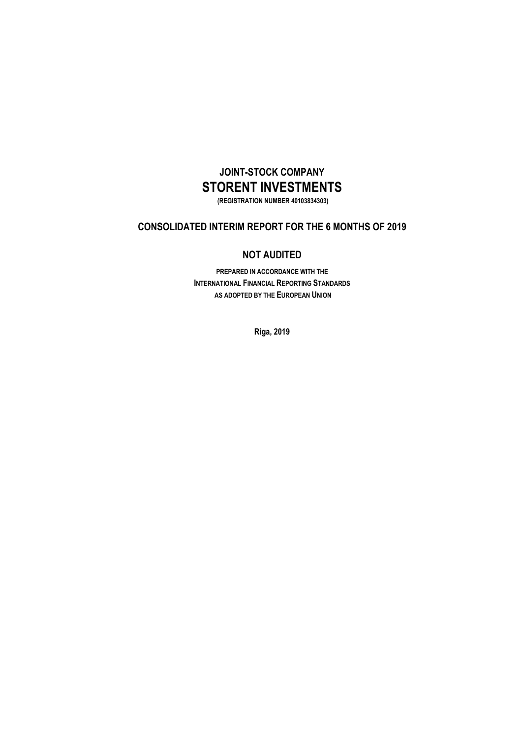# **JOINT-STOCK COMPANY STORENT INVESTMENTS**

**(REGISTRATION NUMBER 40103834303)**

# **CONSOLIDATED INTERIM REPORT FOR THE 6 MONTHS OF 2019**

### **NOT AUDITED**

**PREPARED IN ACCORDANCE WITH THE INTERNATIONAL FINANCIAL REPORTING STANDARDS AS ADOPTED BY THE EUROPEAN UNION**

**Riga, 2019**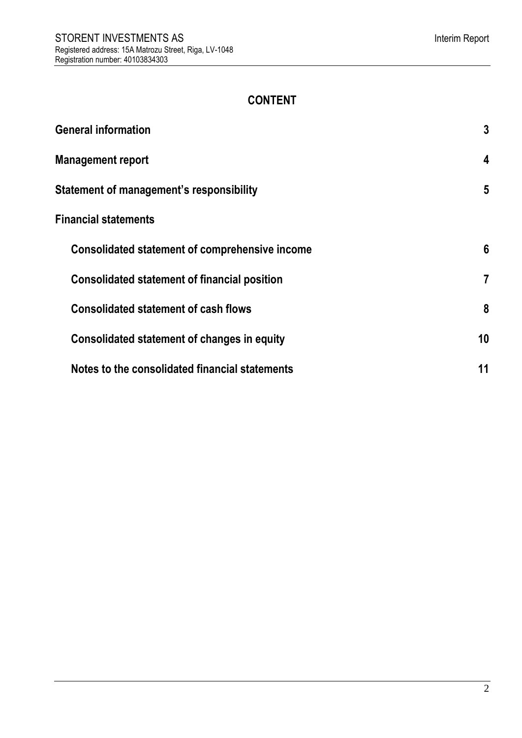# **CONTENT**

| <b>General information</b>                          | $\mathbf{3}$   |
|-----------------------------------------------------|----------------|
| <b>Management report</b>                            | 4              |
| Statement of management's responsibility            | 5              |
| <b>Financial statements</b>                         |                |
| Consolidated statement of comprehensive income      | 6              |
| <b>Consolidated statement of financial position</b> | $\overline{7}$ |
| <b>Consolidated statement of cash flows</b>         | 8              |
| Consolidated statement of changes in equity         | 10             |
| Notes to the consolidated financial statements      | 11             |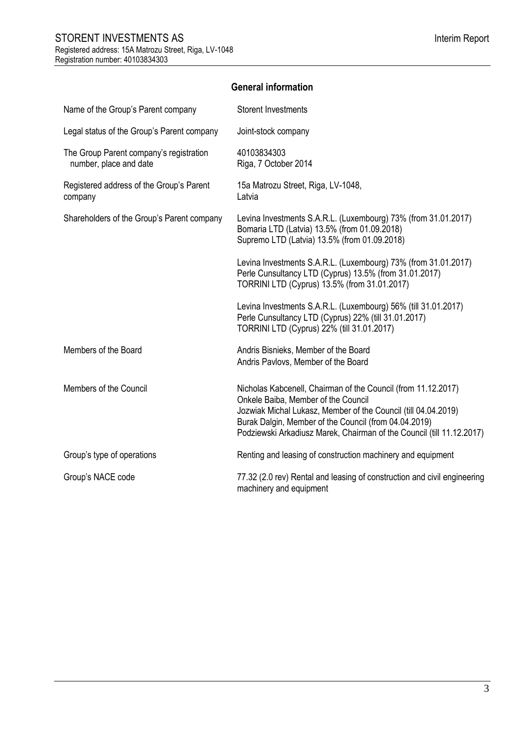# **General information**

<span id="page-2-0"></span>

| Name of the Group's Parent company                                | <b>Storent Investments</b>                                                                                                                                                                                                                                                                               |
|-------------------------------------------------------------------|----------------------------------------------------------------------------------------------------------------------------------------------------------------------------------------------------------------------------------------------------------------------------------------------------------|
| Legal status of the Group's Parent company                        | Joint-stock company                                                                                                                                                                                                                                                                                      |
| The Group Parent company's registration<br>number, place and date | 40103834303<br>Riga, 7 October 2014                                                                                                                                                                                                                                                                      |
| Registered address of the Group's Parent<br>company               | 15a Matrozu Street, Riga, LV-1048,<br>Latvia                                                                                                                                                                                                                                                             |
| Shareholders of the Group's Parent company                        | Levina Investments S.A.R.L. (Luxembourg) 73% (from 31.01.2017)<br>Bomaria LTD (Latvia) 13.5% (from 01.09.2018)<br>Supremo LTD (Latvia) 13.5% (from 01.09.2018)                                                                                                                                           |
|                                                                   | Levina Investments S.A.R.L. (Luxembourg) 73% (from 31.01.2017)<br>Perle Cunsultancy LTD (Cyprus) 13.5% (from 31.01.2017)<br>TORRINI LTD (Cyprus) 13.5% (from 31.01.2017)                                                                                                                                 |
|                                                                   | Levina Investments S.A.R.L. (Luxembourg) 56% (till 31.01.2017)<br>Perle Cunsultancy LTD (Cyprus) 22% (till 31.01.2017)<br>TORRINI LTD (Cyprus) 22% (till 31.01.2017)                                                                                                                                     |
| Members of the Board                                              | Andris Bisnieks, Member of the Board<br>Andris Pavlovs, Member of the Board                                                                                                                                                                                                                              |
| Members of the Council                                            | Nicholas Kabcenell, Chairman of the Council (from 11.12.2017)<br>Onkele Baiba, Member of the Council<br>Jozwiak Michal Lukasz, Member of the Council (till 04.04.2019)<br>Burak Dalgin, Member of the Council (from 04.04.2019)<br>Podziewski Arkadiusz Marek, Chairman of the Council (till 11.12.2017) |
| Group's type of operations                                        | Renting and leasing of construction machinery and equipment                                                                                                                                                                                                                                              |
| Group's NACE code                                                 | 77.32 (2.0 rev) Rental and leasing of construction and civil engineering<br>machinery and equipment                                                                                                                                                                                                      |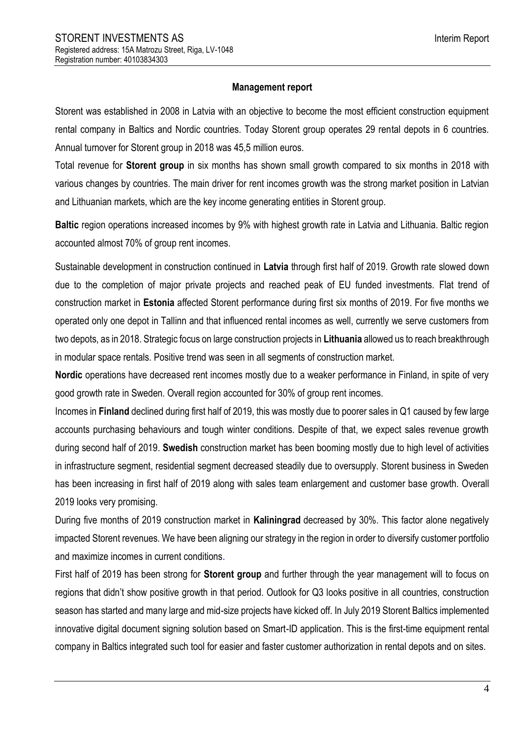# **Management report**

<span id="page-3-0"></span>Storent was established in 2008 in Latvia with an objective to become the most efficient construction equipment rental company in Baltics and Nordic countries. Today Storent group operates 29 rental depots in 6 countries. Annual turnover for Storent group in 2018 was 45,5 million euros.

Total revenue for **Storent group** in six months has shown small growth compared to six months in 2018 with various changes by countries. The main driver for rent incomes growth was the strong market position in Latvian and Lithuanian markets, which are the key income generating entities in Storent group.

**Baltic** region operations increased incomes by 9% with highest growth rate in Latvia and Lithuania. Baltic region accounted almost 70% of group rent incomes.

Sustainable development in construction continued in **Latvia** through first half of 2019. Growth rate slowed down due to the completion of major private projects and reached peak of EU funded investments. Flat trend of construction market in **Estonia** affected Storent performance during first six months of 2019. For five months we operated only one depot in Tallinn and that influenced rental incomes as well, currently we serve customers from two depots, as in 2018. Strategic focus on large construction projects in **Lithuania** allowed us to reach breakthrough in modular space rentals. Positive trend was seen in all segments of construction market.

**Nordic** operations have decreased rent incomes mostly due to a weaker performance in Finland, in spite of very good growth rate in Sweden. Overall region accounted for 30% of group rent incomes.

Incomes in **Finland** declined during first half of 2019, this was mostly due to poorer sales in Q1 caused by few large accounts purchasing behaviours and tough winter conditions. Despite of that, we expect sales revenue growth during second half of 2019. **Swedish** construction market has been booming mostly due to high level of activities in infrastructure segment, residential segment decreased steadily due to oversupply. Storent business in Sweden has been increasing in first half of 2019 along with sales team enlargement and customer base growth. Overall 2019 looks very promising.

During five months of 2019 construction market in **Kaliningrad** decreased by 30%. This factor alone negatively impacted Storent revenues. We have been aligning our strategy in the region in order to diversify customer portfolio and maximize incomes in current conditions.

First half of 2019 has been strong for **Storent group** and further through the year management will to focus on regions that didn't show positive growth in that period. Outlook for Q3 looks positive in all countries, construction season has started and many large and mid-size projects have kicked off. In July 2019 Storent Baltics implemented innovative digital document signing solution based on Smart-ID application. This is the first-time equipment rental company in Baltics integrated such tool for easier and faster customer authorization in rental depots and on sites.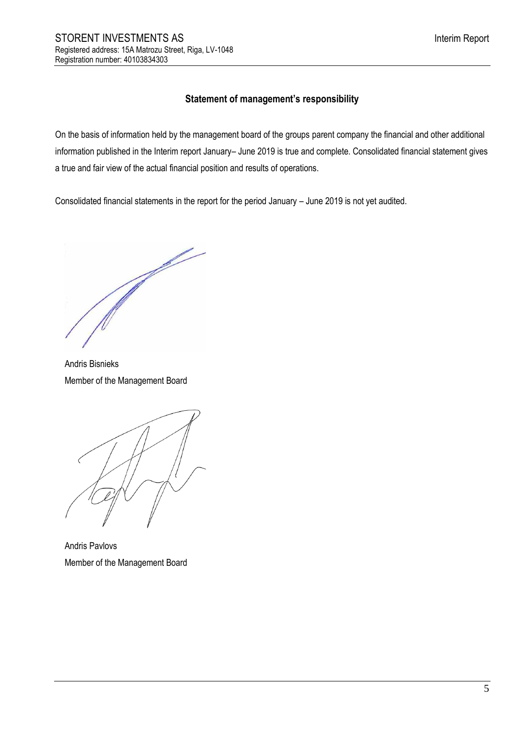# **Statement of management's responsibility**

<span id="page-4-0"></span>On the basis of information held by the management board of the groups parent company the financial and other additional information published in the Interim report January– June 2019 is true and complete. Consolidated financial statement gives a true and fair view of the actual financial position and results of operations.

Consolidated financial statements in the report for the period January – June 2019 is not yet audited.

B.

Andris Bisnieks Member of the Management Board



Andris Pavlovs Member of the Management Board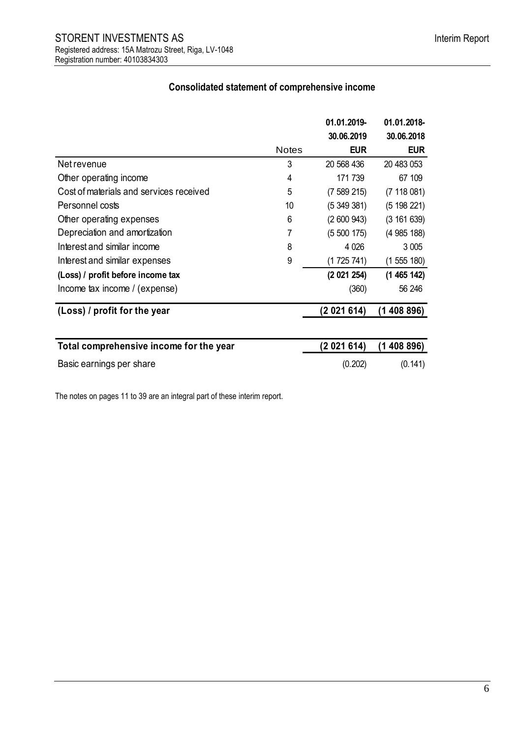# **Consolidated statement of comprehensive income**

<span id="page-5-0"></span>

|                                         |              | 01.01.2019- | 01.01.2018- |
|-----------------------------------------|--------------|-------------|-------------|
|                                         |              | 30.06.2019  | 30.06.2018  |
|                                         | <b>Notes</b> | <b>EUR</b>  | <b>EUR</b>  |
| Net revenue                             | 3            | 20 568 436  | 20 483 053  |
| Other operating income                  | 4            | 171 739     | 67 109      |
| Cost of materials and services received | 5            | (7589215)   | (7 118 081) |
| Personnel costs                         | 10           | (5349381)   | (5198221)   |
| Other operating expenses                | 6            | (2600943)   | (3 161 639) |
| Depreciation and amortization           | 7            | (5500175)   | (4985188)   |
| Interest and similar income             | 8            | 4 0 26      | 3 0 0 5     |
| Interest and similar expenses           | 9            | (1725741)   | (1555180)   |
| (Loss) / profit before income tax       |              | (2 021 254) | (1465142)   |
| Income tax income / (expense)           |              | (360)       | 56 246      |
| (Loss) / profit for the year            |              | (2021614)   | (1408896)   |
|                                         |              |             |             |
| Total comprehensive income for the year |              | (2021614)   | (1 408 896) |
| Basic earnings per share                |              | (0.202)     | (0.141)     |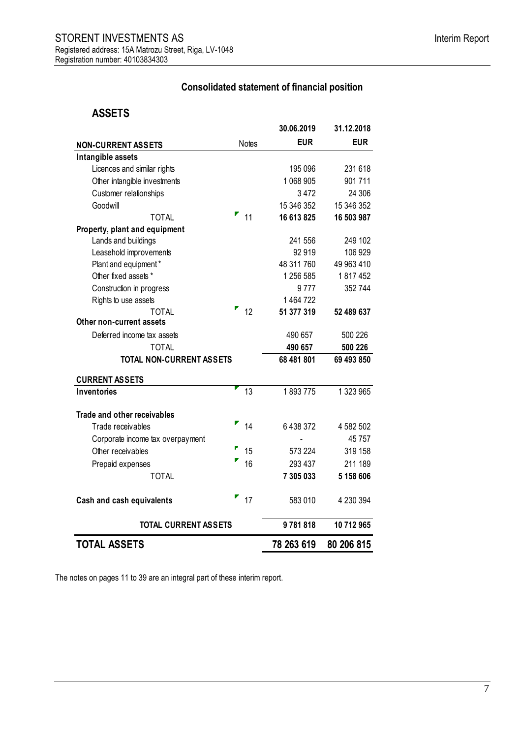# **Consolidated statement of financial position**

# <span id="page-6-0"></span>**ASSETS**

|                                  |                   | 30.06.2019 | 31.12.2018 |
|----------------------------------|-------------------|------------|------------|
| <b>NON-CURRENT ASSETS</b>        | <b>Notes</b>      | <b>EUR</b> | <b>EUR</b> |
| Intangible assets                |                   |            |            |
| Licences and similar rights      |                   | 195 096    | 231 618    |
| Other intangible investments     |                   | 1 068 905  | 901711     |
| Customer relationships           |                   | 3 4 7 2    | 24 30 6    |
| Goodwill                         |                   | 15 346 352 | 15 346 352 |
| <b>TOTAL</b>                     | $\blacksquare$ 11 | 16 613 825 | 16 503 987 |
| Property, plant and equipment    |                   |            |            |
| Lands and buildings              |                   | 241 556    | 249 102    |
| Leasehold improvements           |                   | 92919      | 106 929    |
| Plant and equipment*             |                   | 48 311 760 | 49 963 410 |
| Other fixed assets *             |                   | 1 256 585  | 1817452    |
| Construction in progress         |                   | 9777       | 352 744    |
| Rights to use assets             |                   | 1 464 722  |            |
| <b>TOTAL</b>                     | 12                | 51 377 319 | 52 489 637 |
| Other non-current assets         |                   |            |            |
| Deferred income tax assets       |                   | 490 657    | 500 226    |
| <b>TOTAL</b>                     |                   | 490 657    | 500 226    |
| <b>TOTAL NON-CURRENT ASSETS</b>  |                   | 68 481 801 | 69 493 850 |
| <b>CURRENT ASSETS</b>            |                   |            |            |
| Inventories                      | 13                | 1893775    | 1 323 965  |
| Trade and other receivables      |                   |            |            |
| Trade receivables                | 14                | 6 438 372  | 4 582 502  |
| Corporate income tax overpayment |                   |            | 45 757     |
| Other receivables                | 15                | 573 224    | 319 158    |
| Prepaid expenses                 | 16                | 293 437    | 211 189    |
| <b>TOTAL</b>                     |                   | 7 305 033  | 5 158 606  |
| Cash and cash equivalents        | 17                | 583 010    | 4 230 394  |
| <b>TOTAL CURRENT ASSETS</b>      |                   | 9781818    | 10 712 965 |
| <b>TOTAL ASSETS</b>              |                   | 78 263 619 | 80 206 815 |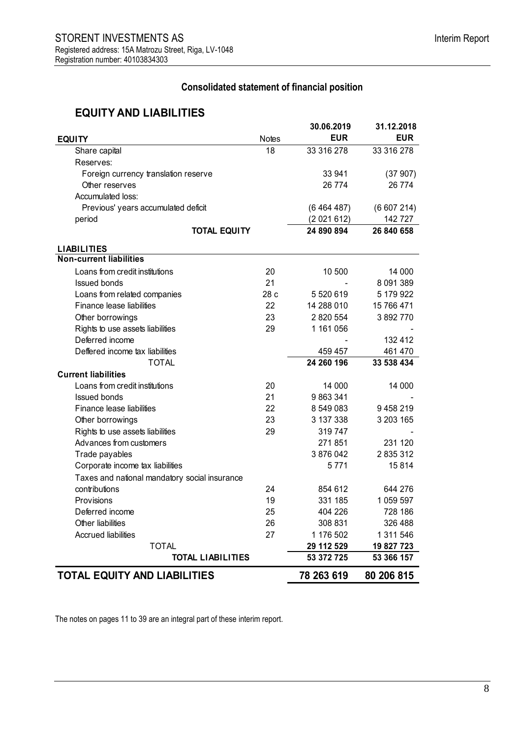# **Consolidated statement of financial position**

# **EQUITY AND LIABILITIES**

| <b>EQUITY</b>                                 | <b>Notes</b> | 30.06.2019<br><b>EUR</b> | 31.12.2018<br><b>EUR</b> |
|-----------------------------------------------|--------------|--------------------------|--------------------------|
| Share capital                                 | 18           | 33 316 278               | 33 316 278               |
| Reserves:                                     |              |                          |                          |
| Foreign currency translation reserve          |              | 33 941                   | (37907)                  |
| Other reserves                                |              | 26 774                   | 26 774                   |
| Accumulated loss:                             |              |                          |                          |
| Previous' years accumulated deficit           |              | (6464487)                | (6607214)                |
| period                                        |              | (2021612)                | 142727                   |
| <b>TOTAL EQUITY</b>                           |              | 24 890 894               | 26 840 658               |
| <b>LIABILITIES</b>                            |              |                          |                          |
| <b>Non-current liabilities</b>                |              |                          |                          |
| Loans from credit institutions                | 20           | 10 500                   | 14 000                   |
| <b>Issued bonds</b>                           | 21           |                          | 8 091 389                |
| Loans from related companies                  | 28 c         | 5 5 20 6 19              | 5 179 922                |
| Finance lease liabilities                     | 22           | 14 288 010               | 15 766 471               |
| Other borrowings                              | 23           | 2 820 554                | 3892770                  |
| Rights to use assets liabilities              | 29           | 1 161 056                |                          |
| Deferred income                               |              |                          | 132 412                  |
| Deffered income tax liabilities               |              | 459 457                  | 461 470                  |
| <b>TOTAL</b>                                  |              | 24 260 196               | 33 538 434               |
| <b>Current liabilities</b>                    |              |                          |                          |
| Loans from credit institutions                | 20           | 14 000                   | 14 000                   |
| <b>Issued bonds</b>                           | 21           | 9863341                  |                          |
| Finance lease liabilities                     | 22           | 8 549 083                | 9458219                  |
| Other borrowings                              | 23           | 3 137 338                | 3 203 165                |
| Rights to use assets liabilities              | 29           | 319747                   |                          |
| Advances from customers                       |              | 271851                   | 231 120                  |
| Trade payables                                |              | 3876042                  | 2 835 312                |
| Corporate income tax liabilities              |              | 5771                     | 15814                    |
| Taxes and national mandatory social insurance |              |                          |                          |
| contributions                                 | 24           | 854 612                  | 644 276                  |
| Provisions                                    | 19           | 331 185                  | 1 059 597                |
| Deferred income                               | 25           | 404 226                  | 728 186                  |
| Other liabilities                             | 26           | 308 831                  | 326 488                  |
| <b>Accrued liabilities</b>                    | 27           | 1 176 502                | 1 311 546                |
| <b>TOTAL</b>                                  |              | 29 112 529               | 19 827 723               |
| <b>TOTAL LIABILITIES</b>                      |              | 53 372 725               | 53 366 157               |
| <b>TOTAL EQUITY AND LIABILITIES</b>           |              | 78 263 619               | 80 206 815               |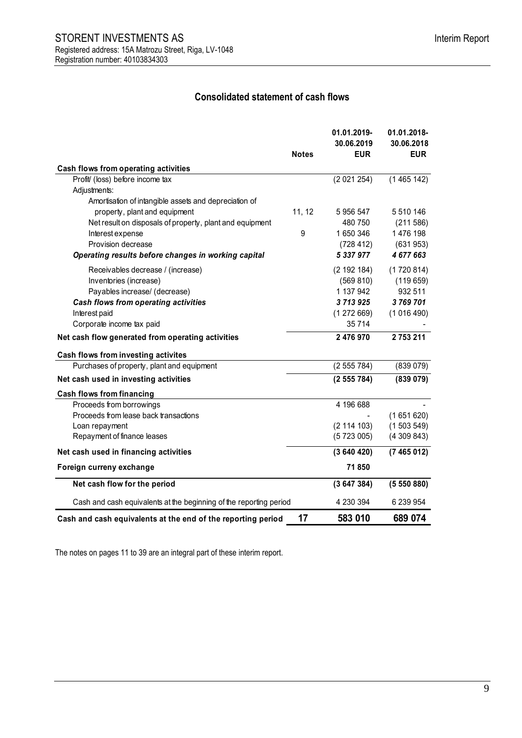# **Consolidated statement of cash flows**

<span id="page-8-1"></span><span id="page-8-0"></span>

|                                                                    | <b>Notes</b> | 01.01.2019-<br>30.06.2019<br><b>EUR</b> | 01.01.2018-<br>30.06.2018<br><b>EUR</b> |
|--------------------------------------------------------------------|--------------|-----------------------------------------|-----------------------------------------|
| Cash flows from operating activities                               |              |                                         |                                         |
| Profit/ (loss) before income tax                                   |              | (2021254)                               | (1465142)                               |
| Adjustments:                                                       |              |                                         |                                         |
| Amortisation of intangible assets and depreciation of              |              |                                         |                                         |
| property, plant and equipment                                      | 11, 12       | 5 956 547                               | 5 510 146                               |
| Net result on disposals of property, plant and equipment           |              | 480 750                                 | (211586)                                |
| Interest expense                                                   | 9            | 1650346                                 | 1476 198                                |
| Provision decrease                                                 |              | (728 412)                               | (631953)                                |
| Operating results before changes in working capital                |              | 5 337 977                               | 4677663                                 |
| Receivables decrease / (increase)                                  |              | (2 192 184)                             | (1720814)                               |
| Inventories (increase)                                             |              | (569 810)                               | (119659)                                |
| Payables increase/ (decrease)                                      |              | 1 137 942                               | 932 511                                 |
| Cash flows from operating activities                               |              | 3713925                                 | 3769701                                 |
| Interest paid                                                      |              | (1272669)                               | (1016490)                               |
| Corporate income tax paid                                          |              | 35 714                                  |                                         |
| Net cash flow generated from operating activities                  |              | 2476970                                 | 2753211                                 |
| Cash flows from investing activites                                |              |                                         |                                         |
| Purchases of property, plant and equipment                         |              | (2555784)                               | (839 079)                               |
| Net cash used in investing activities                              |              | (2555784)                               | (839079)                                |
| <b>Cash flows from financing</b>                                   |              |                                         |                                         |
| Proceeds from borrowings                                           |              | 4 196 688                               |                                         |
| Proceeds from lease back transactions                              |              |                                         | (1651620)                               |
| Loan repayment                                                     |              | (2 114 103)                             | (1503549)                               |
| Repayment of finance leases                                        |              | (5723005)                               | (4309843)                               |
| Net cash used in financing activities                              |              | (3640420)                               | (7465012)                               |
| Foreign curreny exchange                                           |              | 71850                                   |                                         |
| Net cash flow for the period                                       |              | (3647384)                               | (5550880)                               |
| Cash and cash equivalents at the beginning of the reporting period |              | 4 230 394                               | 6 239 954                               |
| Cash and cash equivalents at the end of the reporting period       | 17           | 583 010                                 | 689 074                                 |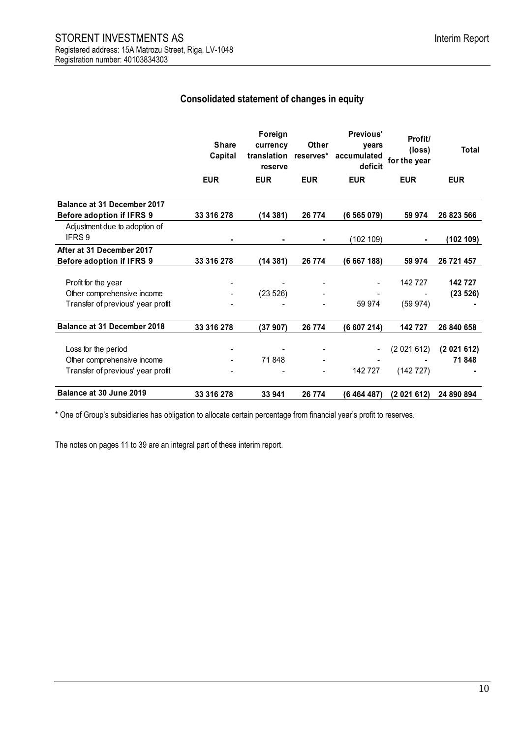# **Consolidated statement of changes in equity**

|                                    | <b>Share</b><br>Capital | Foreign<br>currency<br>translation<br>reserve | Other<br>reserves* | Previous'<br>years<br>accumulated<br>deficit | Profit/<br>(loss)<br>for the year | <b>Total</b> |
|------------------------------------|-------------------------|-----------------------------------------------|--------------------|----------------------------------------------|-----------------------------------|--------------|
|                                    | <b>EUR</b>              | <b>EUR</b>                                    | <b>EUR</b>         | <b>EUR</b>                                   | <b>EUR</b>                        | <b>EUR</b>   |
| Balance at 31 December 2017        |                         |                                               |                    |                                              |                                   |              |
| <b>Before adoption if IFRS 9</b>   | 33 316 278              | (14381)                                       | 26 7 74            | (6565079)                                    | 59 974                            | 26 823 566   |
| Adjustment due to adoption of      |                         |                                               |                    |                                              |                                   |              |
| IFRS 9                             |                         |                                               |                    | (102 109)                                    |                                   | (102 109)    |
| After at 31 December 2017          |                         |                                               |                    |                                              |                                   |              |
| <b>Before adoption if IFRS 9</b>   | 33 316 278              | (14 381)                                      | 26 774             | (6667188)                                    | 59 974                            | 26 721 457   |
|                                    |                         |                                               |                    |                                              |                                   |              |
| Profit for the year                |                         |                                               |                    |                                              | 142 727                           | 142727       |
| Other comprehensive income         |                         | (23526)                                       |                    |                                              |                                   | (23 526)     |
| Transfer of previous' year profit  |                         |                                               |                    | 59 974                                       | (59974)                           |              |
| <b>Balance at 31 December 2018</b> | 33 316 278              | (37907)                                       | 26 774             | (6 607 214)                                  | 142727                            | 26 840 658   |
| Loss for the period                |                         |                                               |                    |                                              | (2021612)                         | (2021612)    |
| Other comprehensive income         |                         | 71848                                         |                    |                                              |                                   | 71848        |
| Transfer of previous' year profit  |                         |                                               |                    | 142 727                                      | (142727)                          |              |
|                                    |                         |                                               |                    |                                              |                                   |              |
| Balance at 30 June 2019            | 33 316 278              | 33 941                                        | 26 774             | (6 4 64 487)                                 | (2021612)                         | 24 890 894   |

\* One of Group's subsidiaries has obligation to allocate certain percentage from financial year's profit to reserves.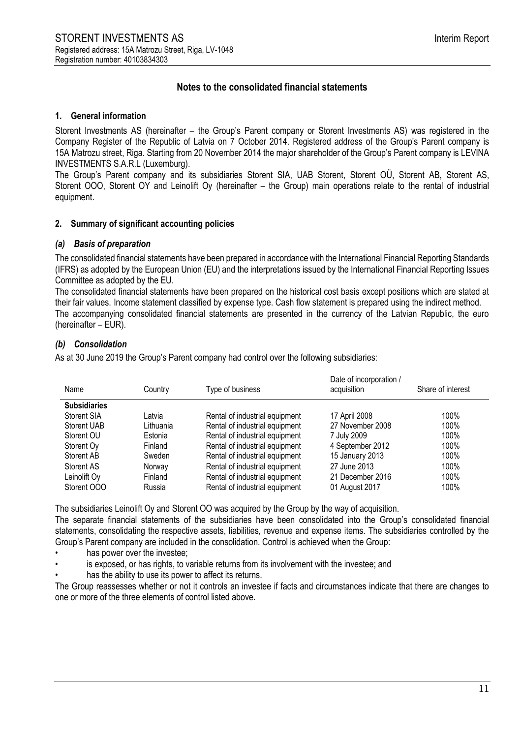# **Notes to the consolidated financial statements**

#### <span id="page-10-0"></span>**1. General information**

Storent Investments AS (hereinafter – the Group's Parent company or Storent Investments AS) was registered in the Company Register of the Republic of Latvia on 7 October 2014. Registered address of the Group's Parent company is 15A Matrozu street, Riga. Starting from 20 November 2014 the major shareholder of the Group's Parent company is LEVINA INVESTMENTS S.A.R.L (Luxemburg).

The Group's Parent company and its subsidiaries Storent SIA, UAB Storent, Storent OÜ, Storent AB, Storent AS, Storent OOO, Storent OY and Leinolift Oy (hereinafter – the Group) main operations relate to the rental of industrial equipment.

#### **2. Summary of significant accounting policies**

#### *(a) Basis of preparation*

The consolidated financial statements have been prepared in accordance with the International Financial Reporting Standards (IFRS) as adopted by the European Union (EU) and the interpretations issued by the International Financial Reporting Issues Committee as adopted by the EU.

The consolidated financial statements have been prepared on the historical cost basis except positions which are stated at their fair values. Income statement classified by expense type. Cash flow statement is prepared using the indirect method. The accompanying consolidated financial statements are presented in the currency of the Latvian Republic, the euro (hereinafter – EUR).

# *(b) Consolidation*

As at 30 June 2019 the Group's Parent company had control over the following subsidiaries:

| Name                | Country   | Type of business               | Date of incorporation /<br>acquisition | Share of interest |
|---------------------|-----------|--------------------------------|----------------------------------------|-------------------|
| <b>Subsidiaries</b> |           |                                |                                        |                   |
| Storent SIA         | Latvia    | Rental of industrial equipment | 17 April 2008                          | 100%              |
| Storent UAB         | Lithuania | Rental of industrial equipment | 27 November 2008                       | 100%              |
| Storent OU          | Estonia   | Rental of industrial equipment | 7 July 2009                            | 100%              |
| Storent Oy          | Finland   | Rental of industrial equipment | 4 September 2012                       | 100%              |
| Storent AB          | Sweden    | Rental of industrial equipment | 15 January 2013                        | 100%              |
| Storent AS          | Norway    | Rental of industrial equipment | 27 June 2013                           | 100%              |
| Leinolift Oy        | Finland   | Rental of industrial equipment | 21 December 2016                       | 100%              |
| Storent OOO         | Russia    | Rental of industrial equipment | 01 August 2017                         | 100%              |

The subsidiaries Leinolift Oy and Storent OO was acquired by the Group by the way of acquisition.

The separate financial statements of the subsidiaries have been consolidated into the Group's consolidated financial statements, consolidating the respective assets, liabilities, revenue and expense items. The subsidiaries controlled by the Group's Parent company are included in the consolidation. Control is achieved when the Group:

- has power over the investee;
- is exposed, or has rights, to variable returns from its involvement with the investee; and
- has the ability to use its power to affect its returns.

The Group reassesses whether or not it controls an investee if facts and circumstances indicate that there are changes to one or more of the three elements of control listed above.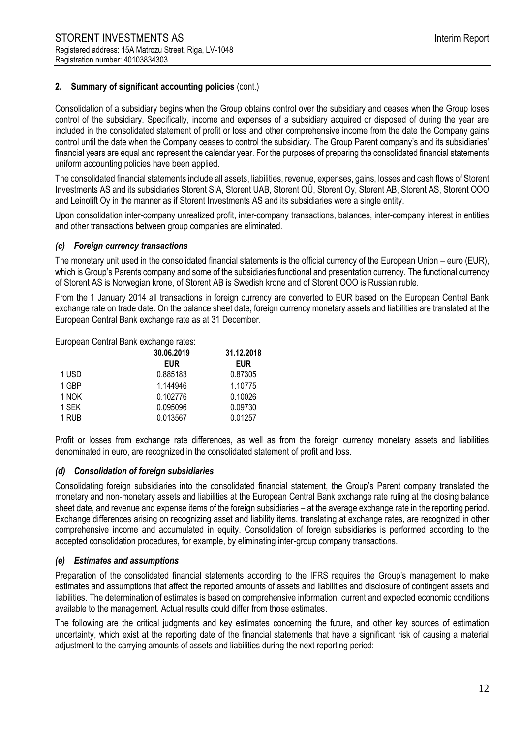Consolidation of a subsidiary begins when the Group obtains control over the subsidiary and ceases when the Group loses control of the subsidiary. Specifically, income and expenses of a subsidiary acquired or disposed of during the year are included in the consolidated statement of profit or loss and other comprehensive income from the date the Company gains control until the date when the Company ceases to control the subsidiary. The Group Parent company's and its subsidiaries' financial years are equal and represent the calendar year. For the purposes of preparing the consolidated financial statements uniform accounting policies have been applied.

The consolidated financial statements include all assets, liabilities, revenue, expenses, gains, losses and cash flows of Storent Investments AS and its subsidiaries Storent SIA, Storent UAB, Storent OÜ, Storent Oy, Storent AB, Storent AS, Storent OOO and Leinolift Oy in the manner as if Storent Investments AS and its subsidiaries were a single entity.

Upon consolidation inter-company unrealized profit, inter-company transactions, balances, inter-company interest in entities and other transactions between group companies are eliminated.

#### *(c) Foreign currency transactions*

The monetary unit used in the consolidated financial statements is the official currency of the European Union – euro (EUR), which is Group's Parents company and some of the subsidiaries functional and presentation currency. The functional currency of Storent AS is Norwegian krone, of Storent AB is Swedish krone and of Storent OOO is Russian ruble.

From the 1 January 2014 all transactions in foreign currency are converted to EUR based on the European Central Bank exchange rate on trade date. On the balance sheet date, foreign currency monetary assets and liabilities are translated at the European Central Bank exchange rate as at 31 December.

European Central Bank exchange rates:

|       | 30.06.2019 | 31.12.2018 |
|-------|------------|------------|
|       | <b>EUR</b> | <b>EUR</b> |
| 1 USD | 0.885183   | 0.87305    |
| 1 GBP | 1.144946   | 1.10775    |
| 1 NOK | 0.102776   | 0.10026    |
| 1 SEK | 0.095096   | 0.09730    |
| 1 RUB | 0.013567   | 0.01257    |

Profit or losses from exchange rate differences, as well as from the foreign currency monetary assets and liabilities denominated in euro, are recognized in the consolidated statement of profit and loss.

#### *(d) Consolidation of foreign subsidiaries*

Consolidating foreign subsidiaries into the consolidated financial statement, the Group's Parent company translated the monetary and non-monetary assets and liabilities at the European Central Bank exchange rate ruling at the closing balance sheet date, and revenue and expense items of the foreign subsidiaries – at the average exchange rate in the reporting period. Exchange differences arising on recognizing asset and liability items, translating at exchange rates, are recognized in other comprehensive income and accumulated in equity. Consolidation of foreign subsidiaries is performed according to the accepted consolidation procedures, for example, by eliminating inter-group company transactions.

### *(e) Estimates and assumptions*

Preparation of the consolidated financial statements according to the IFRS requires the Group's management to make estimates and assumptions that affect the reported amounts of assets and liabilities and disclosure of contingent assets and liabilities. The determination of estimates is based on comprehensive information, current and expected economic conditions available to the management. Actual results could differ from those estimates.

The following are the critical judgments and key estimates concerning the future, and other key sources of estimation uncertainty, which exist at the reporting date of the financial statements that have a significant risk of causing a material adjustment to the carrying amounts of assets and liabilities during the next reporting period: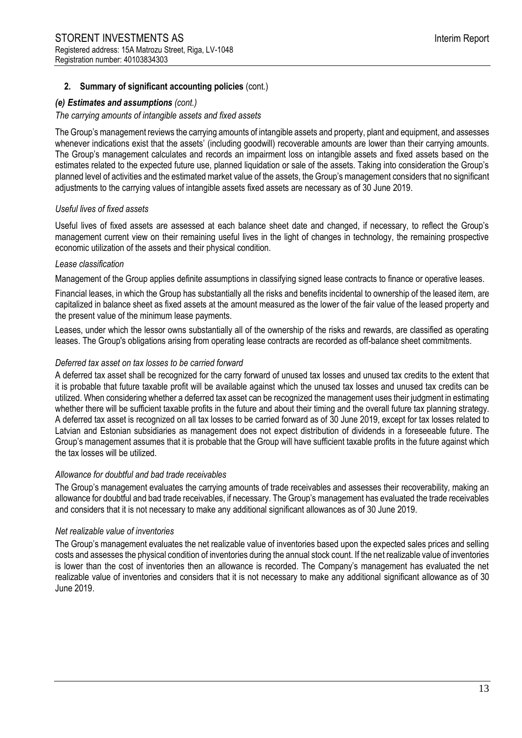#### *(e) Estimates and assumptions (cont.)*

#### *The carrying amounts of intangible assets and fixed assets*

The Group's management reviews the carrying amounts of intangible assets and property, plant and equipment, and assesses whenever indications exist that the assets' (including goodwill) recoverable amounts are lower than their carrying amounts. The Group's management calculates and records an impairment loss on intangible assets and fixed assets based on the estimates related to the expected future use, planned liquidation or sale of the assets. Taking into consideration the Group's planned level of activities and the estimated market value of the assets, the Group's management considers that no significant adjustments to the carrying values of intangible assets fixed assets are necessary as of 30 June 2019.

#### *Useful lives of fixed assets*

Useful lives of fixed assets are assessed at each balance sheet date and changed, if necessary, to reflect the Group's management current view on their remaining useful lives in the light of changes in technology, the remaining prospective economic utilization of the assets and their physical condition.

#### *Lease classification*

Management of the Group applies definite assumptions in classifying signed lease contracts to finance or operative leases.

Financial leases, in which the Group has substantially all the risks and benefits incidental to ownership of the leased item, are capitalized in balance sheet as fixed assets at the amount measured as the lower of the fair value of the leased property and the present value of the minimum lease payments.

Leases, under which the lessor owns substantially all of the ownership of the risks and rewards, are classified as operating leases. The Group's obligations arising from operating lease contracts are recorded as off-balance sheet commitments.

#### *Deferred tax asset on tax losses to be carried forward*

A deferred tax asset shall be recognized for the carry forward of unused tax losses and unused tax credits to the extent that it is probable that future taxable profit will be available against which the unused tax losses and unused tax credits can be utilized. When considering whether a deferred tax asset can be recognized the management uses their judgment in estimating whether there will be sufficient taxable profits in the future and about their timing and the overall future tax planning strategy. A deferred tax asset is recognized on all tax losses to be carried forward as of 30 June 2019, except for tax losses related to Latvian and Estonian subsidiaries as management does not expect distribution of dividends in a foreseeable future. The Group's management assumes that it is probable that the Group will have sufficient taxable profits in the future against which the tax losses will be utilized.

#### *Allowance for doubtful and bad trade receivables*

The Group's management evaluates the carrying amounts of trade receivables and assesses their recoverability, making an allowance for doubtful and bad trade receivables, if necessary. The Group's management has evaluated the trade receivables and considers that it is not necessary to make any additional significant allowances as of 30 June 2019.

### *Net realizable value of inventories*

The Group's management evaluates the net realizable value of inventories based upon the expected sales prices and selling costs and assesses the physical condition of inventories during the annual stock count. If the net realizable value of inventories is lower than the cost of inventories then an allowance is recorded. The Company's management has evaluated the net realizable value of inventories and considers that it is not necessary to make any additional significant allowance as of 30 June 2019.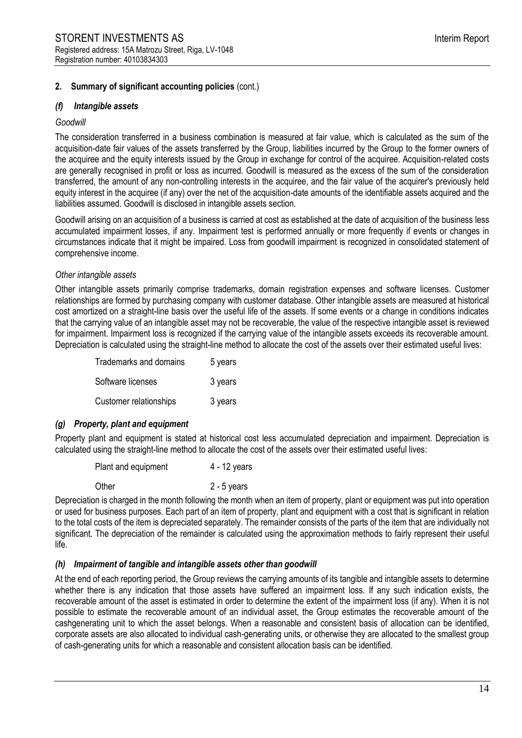#### *(f) Intangible assets*

#### *Goodwill*

The consideration transferred in a business combination is measured at fair value, which is calculated as the sum of the acquisition-date fair values of the assets transferred by the Group, liabilities incurred by the Group to the former owners of the acquiree and the equity interests issued by the Group in exchange for control of the acquiree. Acquisition-related costs are generally recognised in profit or loss as incurred. Goodwill is measured as the excess of the sum of the consideration transferred, the amount of any non-controlling interests in the acquiree, and the fair value of the acquirer's previously held equity interest in the acquiree (if any) over the net of the acquisition-date amounts of the identifiable assets acquired and the liabilities assumed. Goodwill is disclosed in intangible assets section.

Goodwill arising on an acquisition of a business is carried at cost as established at the date of acquisition of the business less accumulated impairment losses, if any. Impairment test is performed annually or more frequently if events or changes in circumstances indicate that it might be impaired. Loss from goodwill impairment is recognized in consolidated statement of comprehensive income.

#### *Other intangible assets*

Other intangible assets primarily comprise trademarks, domain registration expenses and software licenses. Customer relationships are formed by purchasing company with customer database. Other intangible assets are measured at historical cost amortized on a straight-line basis over the useful life of the assets. If some events or a change in conditions indicates that the carrying value of an intangible asset may not be recoverable, the value of the respective intangible asset is reviewed for impairment. Impairment loss is recognized if the carrying value of the intangible assets exceeds its recoverable amount. Depreciation is calculated using the straight-line method to allocate the cost of the assets over their estimated useful lives:

| Trademarks and domains | 5 years |
|------------------------|---------|
| Software licenses      | 3 years |
| Customer relationships | 3 years |

#### *(g) Property, plant and equipment*

Property plant and equipment is stated at historical cost less accumulated depreciation and impairment. Depreciation is calculated using the straight-line method to allocate the cost of the assets over their estimated useful lives:

| Plant and equipment | $4 - 12$ years |
|---------------------|----------------|
| Other               | $2 - 5$ years  |

Depreciation is charged in the month following the month when an item of property, plant or equipment was put into operation or used for business purposes. Each part of an item of property, plant and equipment with a cost that is significant in relation to the total costs of the item is depreciated separately. The remainder consists of the parts of the item that are individually not significant. The depreciation of the remainder is calculated using the approximation methods to fairly represent their useful life.

#### *(h) Impairment of tangible and intangible assets other than goodwill*

At the end of each reporting period, the Group reviews the carrying amounts of its tangible and intangible assets to determine whether there is any indication that those assets have suffered an impairment loss. If any such indication exists, the recoverable amount of the asset is estimated in order to determine the extent of the impairment loss (if any). When it is not possible to estimate the recoverable amount of an individual asset, the Group estimates the recoverable amount of the cashgenerating unit to which the asset belongs. When a reasonable and consistent basis of allocation can be identified, corporate assets are also allocated to individual cash-generating units, or otherwise they are allocated to the smallest group of cash-generating units for which a reasonable and consistent allocation basis can be identified.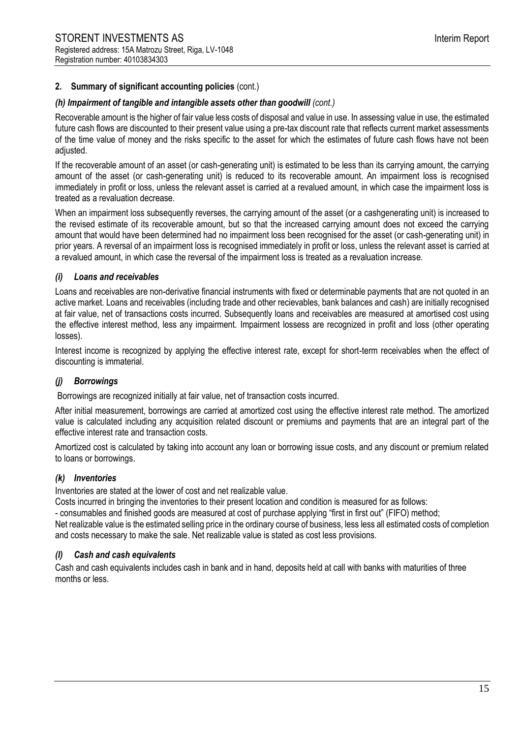#### *(h) Impairment of tangible and intangible assets other than goodwill (cont.)*

Recoverable amount is the higher of fair value less costs of disposal and value in use. In assessing value in use, the estimated future cash flows are discounted to their present value using a pre-tax discount rate that reflects current market assessments of the time value of money and the risks specific to the asset for which the estimates of future cash flows have not been adiusted.

If the recoverable amount of an asset (or cash-generating unit) is estimated to be less than its carrying amount, the carrying amount of the asset (or cash-generating unit) is reduced to its recoverable amount. An impairment loss is recognised immediately in profit or loss, unless the relevant asset is carried at a revalued amount, in which case the impairment loss is treated as a revaluation decrease.

When an impairment loss subsequently reverses, the carrying amount of the asset (or a cashgenerating unit) is increased to the revised estimate of its recoverable amount, but so that the increased carrying amount does not exceed the carrying amount that would have been determined had no impairment loss been recognised for the asset (or cash-generating unit) in prior years. A reversal of an impairment loss is recognised immediately in profit or loss, unless the relevant asset is carried at a revalued amount, in which case the reversal of the impairment loss is treated as a revaluation increase.

#### *(i) Loans and receivables*

Loans and receivables are non-derivative financial instruments with fixed or determinable payments that are not quoted in an active market. Loans and receivables (including trade and other recievables, bank balances and cash) are initially recognised at fair value, net of transactions costs incurred. Subsequently loans and receivables are measured at amortised cost using the effective interest method, less any impairment. Impairment lossess are recognized in profit and loss (other operating losses).

Interest income is recognized by applying the effective interest rate, except for short-term receivables when the effect of discounting is immaterial.

### *(j) Borrowings*

Borrowings are recognized initially at fair value, net of transaction costs incurred.

After initial measurement, borrowings are carried at amortized cost using the effective interest rate method. The amortized value is calculated including any acquisition related discount or premiums and payments that are an integral part of the effective interest rate and transaction costs.

Amortized cost is calculated by taking into account any loan or borrowing issue costs, and any discount or premium related to loans or borrowings.

## *(k) Inventories*

Inventories are stated at the lower of cost and net realizable value.

Costs incurred in bringing the inventories to their present location and condition is measured for as follows:

- consumables and finished goods are measured at cost of purchase applying "first in first out" (FIFO) method;

Net realizable value is the estimated selling price in the ordinary course of business, less less all estimated costs of completion and costs necessary to make the sale. Net realizable value is stated as cost less provisions.

#### *(l) Cash and cash equivalents*

Cash and cash equivalents includes cash in bank and in hand, deposits held at call with banks with maturities of three months or less.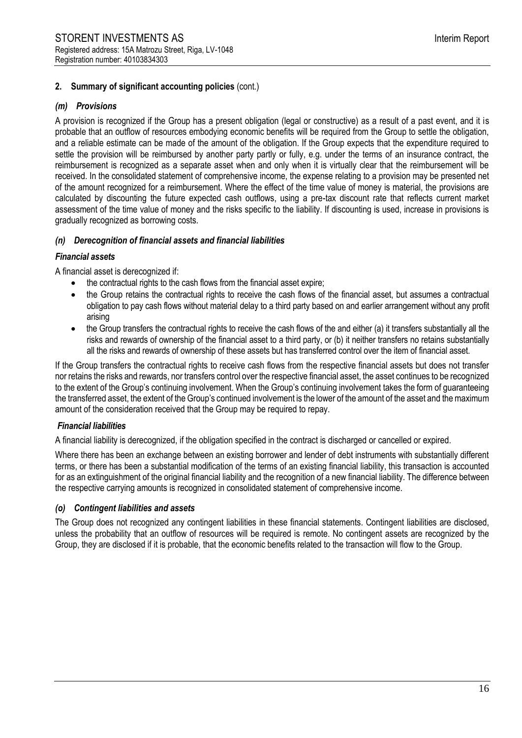## *(m) Provisions*

A provision is recognized if the Group has a present obligation (legal or constructive) as a result of a past event, and it is probable that an outflow of resources embodying economic benefits will be required from the Group to settle the obligation, and a reliable estimate can be made of the amount of the obligation. If the Group expects that the expenditure required to settle the provision will be reimbursed by another party partly or fully, e.g. under the terms of an insurance contract, the reimbursement is recognized as a separate asset when and only when it is virtually clear that the reimbursement will be received. In the consolidated statement of comprehensive income, the expense relating to a provision may be presented net of the amount recognized for a reimbursement. Where the effect of the time value of money is material, the provisions are calculated by discounting the future expected cash outflows, using a pre-tax discount rate that reflects current market assessment of the time value of money and the risks specific to the liability. If discounting is used, increase in provisions is gradually recognized as borrowing costs.

# *(n) Derecognition of financial assets and financial liabilities*

### *Financial assets*

A financial asset is derecognized if:

- the contractual rights to the cash flows from the financial asset expire;
- the Group retains the contractual rights to receive the cash flows of the financial asset, but assumes a contractual obligation to pay cash flows without material delay to a third party based on and earlier arrangement without any profit arising
- the Group transfers the contractual rights to receive the cash flows of the and either (a) it transfers substantially all the risks and rewards of ownership of the financial asset to a third party, or (b) it neither transfers no retains substantially all the risks and rewards of ownership of these assets but has transferred control over the item of financial asset.

If the Group transfers the contractual rights to receive cash flows from the respective financial assets but does not transfer nor retains the risks and rewards, nor transfers control over the respective financial asset, the asset continues to be recognized to the extent of the Group's continuing involvement. When the Group's continuing involvement takes the form of guaranteeing the transferred asset, the extent of the Group's continued involvement is the lower of the amount of the asset and the maximum amount of the consideration received that the Group may be required to repay.

# *Financial liabilities*

A financial liability is derecognized, if the obligation specified in the contract is discharged or cancelled or expired.

Where there has been an exchange between an existing borrower and lender of debt instruments with substantially different terms, or there has been a substantial modification of the terms of an existing financial liability, this transaction is accounted for as an extinguishment of the original financial liability and the recognition of a new financial liability. The difference between the respective carrying amounts is recognized in consolidated statement of comprehensive income.

### *(o) Contingent liabilities and assets*

The Group does not recognized any contingent liabilities in these financial statements. Contingent liabilities are disclosed, unless the probability that an outflow of resources will be required is remote. No contingent assets are recognized by the Group, they are disclosed if it is probable, that the economic benefits related to the transaction will flow to the Group.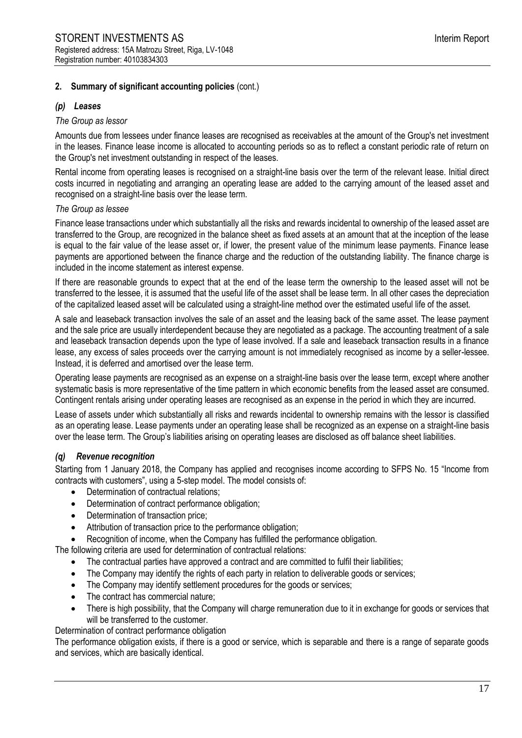### *(p) Leases*

#### *The Group as lessor*

Amounts due from lessees under finance leases are recognised as receivables at the amount of the Group's net investment in the leases. Finance lease income is allocated to accounting periods so as to reflect a constant periodic rate of return on the Group's net investment outstanding in respect of the leases.

Rental income from operating leases is recognised on a straight-line basis over the term of the relevant lease. Initial direct costs incurred in negotiating and arranging an operating lease are added to the carrying amount of the leased asset and recognised on a straight-line basis over the lease term.

#### *The Group as lessee*

Finance lease transactions under which substantially all the risks and rewards incidental to ownership of the leased asset are transferred to the Group, are recognized in the balance sheet as fixed assets at an amount that at the inception of the lease is equal to the fair value of the lease asset or, if lower, the present value of the minimum lease payments. Finance lease payments are apportioned between the finance charge and the reduction of the outstanding liability. The finance charge is included in the income statement as interest expense.

If there are reasonable grounds to expect that at the end of the lease term the ownership to the leased asset will not be transferred to the lessee, it is assumed that the useful life of the asset shall be lease term. In all other cases the depreciation of the capitalized leased asset will be calculated using a straight-line method over the estimated useful life of the asset.

A sale and leaseback transaction involves the sale of an asset and the leasing back of the same asset. The lease payment and the sale price are usually interdependent because they are negotiated as a package. The accounting treatment of a sale and leaseback transaction depends upon the type of lease involved. If a sale and leaseback transaction results in a finance lease, any excess of sales proceeds over the carrying amount is not immediately recognised as income by a seller-lessee. Instead, it is deferred and amortised over the lease term.

Operating lease payments are recognised as an expense on a straight-line basis over the lease term, except where another systematic basis is more representative of the time pattern in which economic benefits from the leased asset are consumed. Contingent rentals arising under operating leases are recognised as an expense in the period in which they are incurred.

Lease of assets under which substantially all risks and rewards incidental to ownership remains with the lessor is classified as an operating lease. Lease payments under an operating lease shall be recognized as an expense on a straight-line basis over the lease term. The Group's liabilities arising on operating leases are disclosed as off balance sheet liabilities.

#### *(q) Revenue recognition*

Starting from 1 January 2018, the Company has applied and recognises income according to SFPS No. 15 "Income from contracts with customers", using a 5-step model. The model consists of:

- Determination of contractual relations;
- Determination of contract performance obligation;
- Determination of transaction price;
- Attribution of transaction price to the performance obligation;
- Recognition of income, when the Company has fulfilled the performance obligation.

The following criteria are used for determination of contractual relations:

- The contractual parties have approved a contract and are committed to fulfil their liabilities;
- The Company may identify the rights of each party in relation to deliverable goods or services;
- The Company may identify settlement procedures for the goods or services;
- The contract has commercial nature;
- There is high possibility, that the Company will charge remuneration due to it in exchange for goods or services that will be transferred to the customer.

Determination of contract performance obligation

The performance obligation exists, if there is a good or service, which is separable and there is a range of separate goods and services, which are basically identical.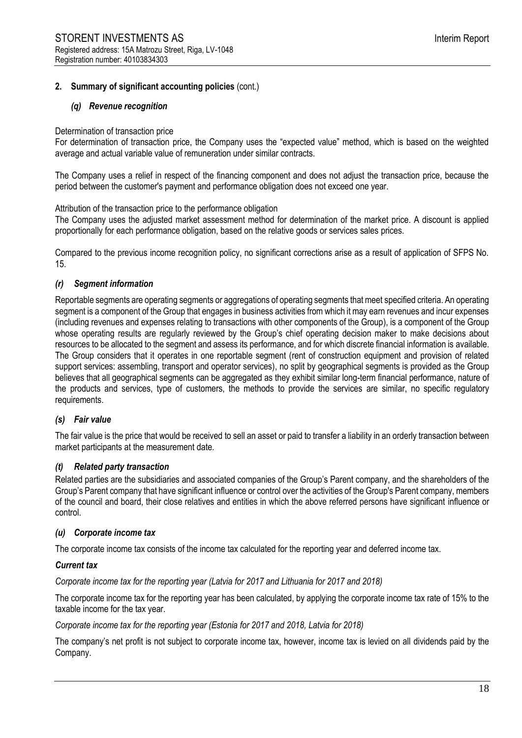#### *(q) Revenue recognition*

#### Determination of transaction price

For determination of transaction price, the Company uses the "expected value" method, which is based on the weighted average and actual variable value of remuneration under similar contracts.

The Company uses a relief in respect of the financing component and does not adjust the transaction price, because the period between the customer's payment and performance obligation does not exceed one year.

Attribution of the transaction price to the performance obligation

The Company uses the adjusted market assessment method for determination of the market price. A discount is applied proportionally for each performance obligation, based on the relative goods or services sales prices.

Compared to the previous income recognition policy, no significant corrections arise as a result of application of SFPS No. 15.

#### *(r) Segment information*

Reportable segments are operating segments or aggregations of operating segments that meet specified criteria. An operating segment is a component of the Group that engages in business activities from which it may earn revenues and incur expenses (including revenues and expenses relating to transactions with other components of the Group), is a component of the Group whose operating results are regularly reviewed by the Group's chief operating decision maker to make decisions about resources to be allocated to the segment and assess its performance, and for which discrete financial information is available. The Group considers that it operates in one reportable segment (rent of construction equipment and provision of related support services: assembling, transport and operator services), no split by geographical segments is provided as the Group believes that all geographical segments can be aggregated as they exhibit similar long-term financial performance, nature of the products and services, type of customers, the methods to provide the services are similar, no specific regulatory requirements.

### *(s) Fair value*

The fair value is the price that would be received to sell an asset or paid to transfer a liability in an orderly transaction between market participants at the measurement date.

#### *(t) Related party transaction*

Related parties are the subsidiaries and associated companies of the Group's Parent company, and the shareholders of the Group's Parent company that have significant influence or control over the activities of the Group's Parent company, members of the council and board, their close relatives and entities in which the above referred persons have significant influence or control.

#### *(u) Corporate income tax*

The corporate income tax consists of the income tax calculated for the reporting year and deferred income tax.

#### *Current tax*

*Corporate income tax for the reporting year (Latvia for 2017 and Lithuania for 2017 and 2018)*

The corporate income tax for the reporting year has been calculated, by applying the corporate income tax rate of 15% to the taxable income for the tax year.

*Corporate income tax for the reporting year (Estonia for 2017 and 2018, Latvia for 2018)*

The company's net profit is not subject to corporate income tax, however, income tax is levied on all dividends paid by the Company.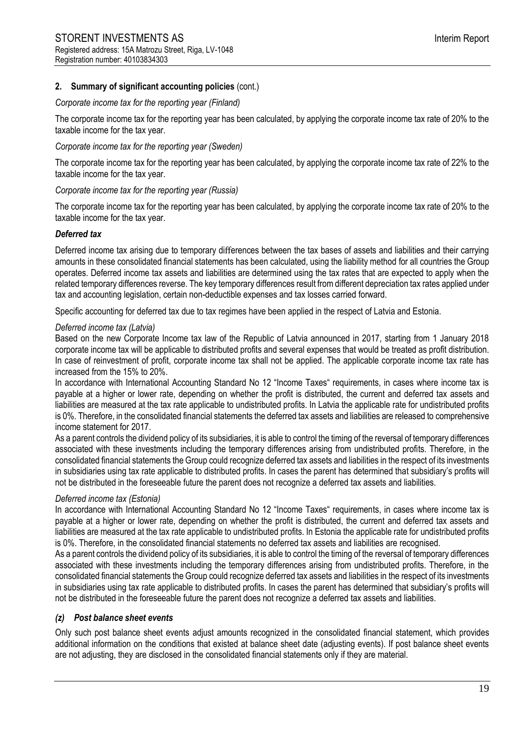#### *Corporate income tax for the reporting year (Finland)*

The corporate income tax for the reporting year has been calculated, by applying the corporate income tax rate of 20% to the taxable income for the tax year.

### *Corporate income tax for the reporting year (Sweden)*

The corporate income tax for the reporting year has been calculated, by applying the corporate income tax rate of 22% to the taxable income for the tax year.

#### *Corporate income tax for the reporting year (Russia)*

The corporate income tax for the reporting year has been calculated, by applying the corporate income tax rate of 20% to the taxable income for the tax year.

#### *Deferred tax*

Deferred income tax arising due to temporary differences between the tax bases of assets and liabilities and their carrying amounts in these consolidated financial statements has been calculated, using the liability method for all countries the Group operates. Deferred income tax assets and liabilities are determined using the tax rates that are expected to apply when the related temporary differences reverse. The key temporary differences result from different depreciation tax rates applied under tax and accounting legislation, certain non-deductible expenses and tax losses carried forward.

Specific accounting for deferred tax due to tax regimes have been applied in the respect of Latvia and Estonia.

#### *Deferred income tax (Latvia)*

Based on the new Corporate Income tax law of the Republic of Latvia announced in 2017, starting from 1 January 2018 corporate income tax will be applicable to distributed profits and several expenses that would be treated as profit distribution. In case of reinvestment of profit, corporate income tax shall not be applied. The applicable corporate income tax rate has increased from the 15% to 20%.

In accordance with International Accounting Standard No 12 "Income Taxes" requirements, in cases where income tax is payable at a higher or lower rate, depending on whether the profit is distributed, the current and deferred tax assets and liabilities are measured at the tax rate applicable to undistributed profits. In Latvia the applicable rate for undistributed profits is 0%. Therefore, in the consolidated financial statements the deferred tax assets and liabilities are released to comprehensive income statement for 2017.

As a parent controls the dividend policy of its subsidiaries, it is able to control the timing of the reversal of temporary differences associated with these investments including the temporary differences arising from undistributed profits. Therefore, in the consolidated financial statements the Group could recognize deferred tax assets and liabilities in the respect of its investments in subsidiaries using tax rate applicable to distributed profits. In cases the parent has determined that subsidiary's profits will not be distributed in the foreseeable future the parent does not recognize a deferred tax assets and liabilities.

### *Deferred income tax (Estonia)*

In accordance with International Accounting Standard No 12 "Income Taxes" requirements, in cases where income tax is payable at a higher or lower rate, depending on whether the profit is distributed, the current and deferred tax assets and liabilities are measured at the tax rate applicable to undistributed profits. In Estonia the applicable rate for undistributed profits is 0%. Therefore, in the consolidated financial statements no deferred tax assets and liabilities are recognised.

As a parent controls the dividend policy of its subsidiaries, it is able to control the timing of the reversal of temporary differences associated with these investments including the temporary differences arising from undistributed profits. Therefore, in the consolidated financial statements the Group could recognize deferred tax assets and liabilities in the respect of its investments in subsidiaries using tax rate applicable to distributed profits. In cases the parent has determined that subsidiary's profits will not be distributed in the foreseeable future the parent does not recognize a deferred tax assets and liabilities.

#### *(z) Post balance sheet events*

Only such post balance sheet events adjust amounts recognized in the consolidated financial statement, which provides additional information on the conditions that existed at balance sheet date (adjusting events). If post balance sheet events are not adjusting, they are disclosed in the consolidated financial statements only if they are material.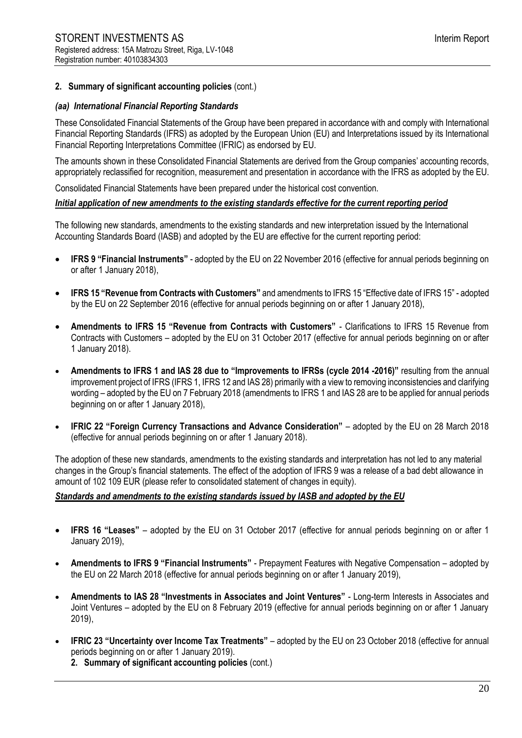#### *(aa) International Financial Reporting Standards*

These Consolidated Financial Statements of the Group have been prepared in accordance with and comply with International Financial Reporting Standards (IFRS) as adopted by the European Union (EU) and Interpretations issued by its International Financial Reporting Interpretations Committee (IFRIC) as endorsed by EU.

The amounts shown in these Consolidated Financial Statements are derived from the Group companies' accounting records, appropriately reclassified for recognition, measurement and presentation in accordance with the IFRS as adopted by the EU.

Consolidated Financial Statements have been prepared under the historical cost convention.

#### *Initial application of new amendments to the existing standards effective for the current reporting period*

The following new standards, amendments to the existing standards and new interpretation issued by the International Accounting Standards Board (IASB) and adopted by the EU are effective for the current reporting period:

- **IFRS 9 "Financial Instruments"** adopted by the EU on 22 November 2016 (effective for annual periods beginning on or after 1 January 2018),
- **IFRS 15 "Revenue from Contracts with Customers"** and amendments to IFRS 15 "Effective date of IFRS 15" adopted by the EU on 22 September 2016 (effective for annual periods beginning on or after 1 January 2018),
- **Amendments to IFRS 15 "Revenue from Contracts with Customers"** Clarifications to IFRS 15 Revenue from Contracts with Customers – adopted by the EU on 31 October 2017 (effective for annual periods beginning on or after 1 January 2018).
- **Amendments to IFRS 1 and IAS 28 due to "Improvements to IFRSs (cycle 2014 -2016)"** resulting from the annual improvement project of IFRS (IFRS 1, IFRS 12 and IAS 28) primarily with a view to removing inconsistencies and clarifying wording – adopted by the EU on 7 February 2018 (amendments to IFRS 1 and IAS 28 are to be applied for annual periods beginning on or after 1 January 2018),
- **IFRIC 22 "Foreign Currency Transactions and Advance Consideration"**  adopted by the EU on 28 March 2018 (effective for annual periods beginning on or after 1 January 2018).

The adoption of these new standards, amendments to the existing standards and interpretation has not led to any material changes in the Group's financial statements. The effect of the adoption of IFRS 9 was a release of a bad debt allowance in amount of 102 109 EUR (please refer to consolidated statement of changes in equity).

### *Standards and amendments to the existing standards issued by IASB and adopted by the EU*

- **IFRS 16 "Leases"** adopted by the EU on 31 October 2017 (effective for annual periods beginning on or after 1 January 2019),
- **Amendments to IFRS 9 "Financial Instruments"**  Prepayment Features with Negative Compensation adopted by the EU on 22 March 2018 (effective for annual periods beginning on or after 1 January 2019),
- **Amendments to IAS 28 "Investments in Associates and Joint Ventures"**  Long-term Interests in Associates and Joint Ventures – adopted by the EU on 8 February 2019 (effective for annual periods beginning on or after 1 January 2019),
- **IFRIC 23 "Uncertainty over Income Tax Treatments"**  adopted by the EU on 23 October 2018 (effective for annual periods beginning on or after 1 January 2019).

**2. Summary of significant accounting policies** (cont.)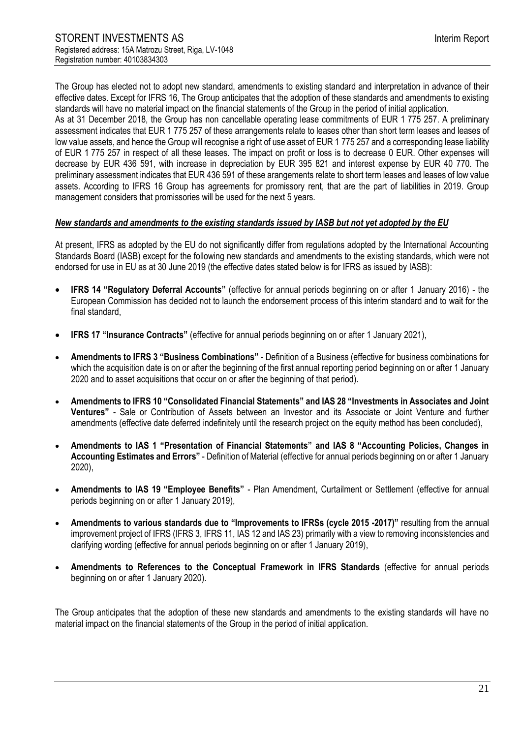The Group has elected not to adopt new standard, amendments to existing standard and interpretation in advance of their effective dates. Except for IFRS 16, The Group anticipates that the adoption of these standards and amendments to existing standards will have no material impact on the financial statements of the Group in the period of initial application. As at 31 December 2018, the Group has non cancellable operating lease commitments of EUR 1 775 257. A preliminary assessment indicates that EUR 1 775 257 of these arrangements relate to leases other than short term leases and leases of low value assets, and hence the Group will recognise a right of use asset of EUR 1 775 257 and a corresponding lease liability of EUR 1 775 257 in respect of all these leases. The impact on profit or loss is to decrease 0 EUR. Other expenses will decrease by EUR 436 591, with increase in depreciation by EUR 395 821 and interest expense by EUR 40 770. The preliminary assessment indicates that EUR 436 591 of these arangements relate to short term leases and leases of low value assets. According to IFRS 16 Group has agreements for promissory rent, that are the part of liabilities in 2019. Group management considers that promissories will be used for the next 5 years.

#### *New standards and amendments to the existing standards issued by IASB but not yet adopted by the EU*

At present, IFRS as adopted by the EU do not significantly differ from regulations adopted by the International Accounting Standards Board (IASB) except for the following new standards and amendments to the existing standards, which were not endorsed for use in EU as at 30 June 2019 (the effective dates stated below is for IFRS as issued by IASB):

- **IFRS 14 "Regulatory Deferral Accounts"** (effective for annual periods beginning on or after 1 January 2016) the European Commission has decided not to launch the endorsement process of this interim standard and to wait for the final standard,
- **IFRS 17 "Insurance Contracts"** (effective for annual periods beginning on or after 1 January 2021),
- **Amendments to IFRS 3 "Business Combinations"** Definition of a Business (effective for business combinations for which the acquisition date is on or after the beginning of the first annual reporting period beginning on or after 1 January 2020 and to asset acquisitions that occur on or after the beginning of that period).
- **Amendments to IFRS 10 "Consolidated Financial Statements" and IAS 28 "Investments in Associates and Joint Ventures"** - Sale or Contribution of Assets between an Investor and its Associate or Joint Venture and further amendments (effective date deferred indefinitely until the research project on the equity method has been concluded),
- **Amendments to IAS 1 "Presentation of Financial Statements" and IAS 8 "Accounting Policies, Changes in Accounting Estimates and Errors"** - Definition of Material (effective for annual periods beginning on or after 1 January 2020),
- **Amendments to IAS 19 "Employee Benefits"** Plan Amendment, Curtailment or Settlement (effective for annual periods beginning on or after 1 January 2019),
- **Amendments to various standards due to "Improvements to IFRSs (cycle 2015 -2017)"** resulting from the annual improvement project of IFRS (IFRS 3, IFRS 11, IAS 12 and IAS 23) primarily with a view to removing inconsistencies and clarifying wording (effective for annual periods beginning on or after 1 January 2019),
- **Amendments to References to the Conceptual Framework in IFRS Standards** (effective for annual periods beginning on or after 1 January 2020).

The Group anticipates that the adoption of these new standards and amendments to the existing standards will have no material impact on the financial statements of the Group in the period of initial application.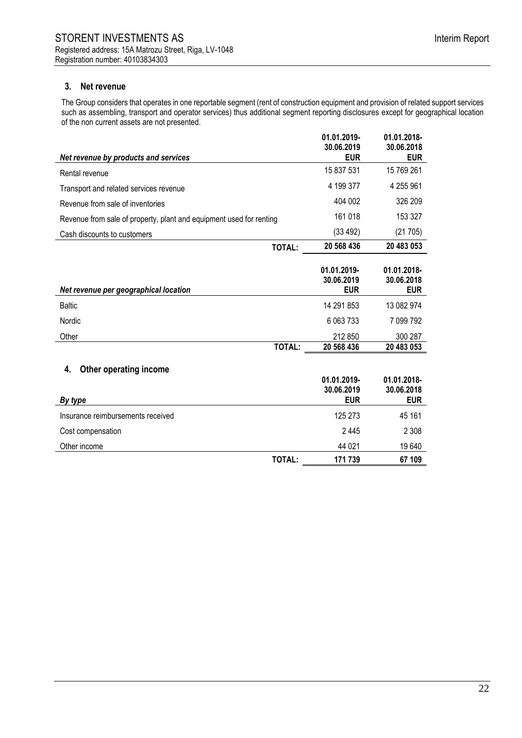### **3. Net revenue**

The Group considers that operates in one reportable segment (rent of construction equipment and provision of related support services such as assembling, transport and operator services) thus additional segment reporting disclosures except for geographical location of the non current assets are not presented.

|                                                                     |               | 01.01.2019-<br>30.06.2019               | 01.01.2018-<br>30.06.2018               |
|---------------------------------------------------------------------|---------------|-----------------------------------------|-----------------------------------------|
| Net revenue by products and services                                |               | <b>EUR</b>                              | <b>EUR</b>                              |
| Rental revenue                                                      |               | 15 837 531                              | 15 769 261                              |
| Transport and related services revenue                              |               | 4 199 377                               | 4 255 961                               |
| Revenue from sale of inventories                                    |               | 404 002                                 | 326 209                                 |
| Revenue from sale of property, plant and equipment used for renting |               | 161 018                                 | 153 327                                 |
| Cash discounts to customers                                         |               | (33 492)                                | (21705)                                 |
|                                                                     | <b>TOTAL:</b> | 20 568 436                              | 20 483 053                              |
| Net revenue per geographical location                               |               | 01.01.2019-<br>30.06.2019<br><b>EUR</b> | 01.01.2018-<br>30.06.2018<br><b>EUR</b> |
| <b>Baltic</b>                                                       |               | 14 291 853                              | 13 082 974                              |
| Nordic                                                              |               | 6 0 63 7 33                             | 7 099 792                               |
| Other                                                               |               | 212 850                                 | 300 287                                 |
|                                                                     | TOTAL:        | 20 568 436                              | 20 483 053                              |
| Other operating income<br>4.                                        |               |                                         |                                         |
| By type                                                             |               | 01.01.2019-<br>30.06.2019<br><b>EUR</b> | 01.01.2018-<br>30.06.2018<br><b>EUR</b> |
| Insurance reimbursements received                                   |               | 125 273                                 | 45 161                                  |
|                                                                     |               | 2 4 4 5                                 | 2 3 0 8                                 |
| Cost compensation                                                   |               |                                         |                                         |
| Other income                                                        |               | 44 021                                  | 19640                                   |
|                                                                     | <b>TOTAL:</b> | 171 739                                 | 67 109                                  |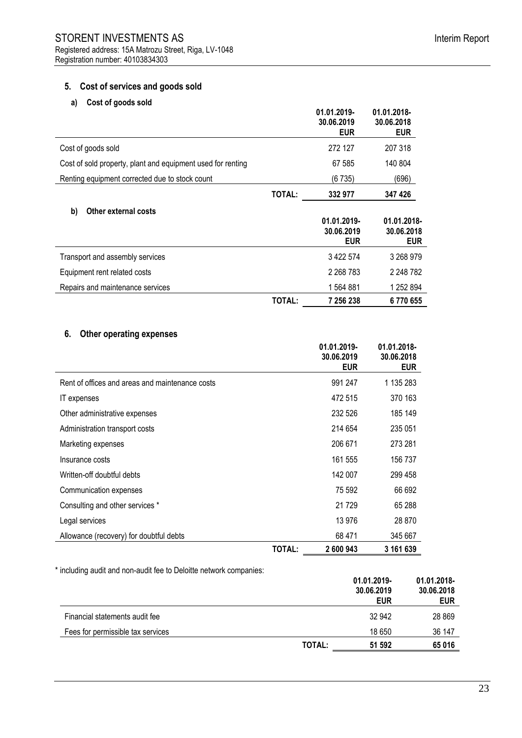### **5. Cost of services and goods sold**

# **a) Cost of goods sold**

|                                                             |        | 01.01.2019-<br>30.06.2019<br><b>EUR</b> | 01.01.2018-<br>30.06.2018<br><b>EUR</b> |
|-------------------------------------------------------------|--------|-----------------------------------------|-----------------------------------------|
| Cost of goods sold                                          |        | 272 127                                 | 207 318                                 |
| Cost of sold property, plant and equipment used for renting |        | 67 585                                  | 140 804                                 |
| Renting equipment corrected due to stock count              |        | (6735)                                  | (696)                                   |
|                                                             | TOTAL: | 332 977                                 | 347 426                                 |
| b)<br><b>Other external costs</b>                           |        | 01.01.2019-<br>30.06.2019<br><b>EUR</b> | 01.01.2018-<br>30.06.2018<br><b>EUR</b> |
| Transport and assembly services                             |        | 3 422 574                               | 3 268 979                               |
| Equipment rent related costs                                |        | 2 2 68 7 83                             | 2 248 782                               |
| Repairs and maintenance services                            |        | 1564881                                 | 1 252 894                               |
|                                                             | TOTAL: | 7 256 238                               | 6770655                                 |

# **6. Other operating expenses**

|                                                 |        | 01.01.2019-<br>30.06.2019<br><b>EUR</b> | 01.01.2018-<br>30.06.2018<br><b>EUR</b> |
|-------------------------------------------------|--------|-----------------------------------------|-----------------------------------------|
| Rent of offices and areas and maintenance costs |        | 991 247                                 | 1 135 283                               |
| IT expenses                                     |        | 472 515                                 | 370 163                                 |
| Other administrative expenses                   |        | 232 526                                 | 185 149                                 |
| Administration transport costs                  |        | 214 654                                 | 235 051                                 |
| Marketing expenses                              |        | 206 671                                 | 273 281                                 |
| Insurance costs                                 |        | 161 555                                 | 156 737                                 |
| Written-off doubtful debts                      |        | 142 007                                 | 299 458                                 |
| Communication expenses                          |        | 75 592                                  | 66 692                                  |
| Consulting and other services *                 |        | 21729                                   | 65 288                                  |
| Legal services                                  |        | 13 976                                  | 28 870                                  |
| Allowance (recovery) for doubtful debts         |        | 68 471                                  | 345 667                                 |
|                                                 | TOTAL: | 2 600 943                               | 3 161 639                               |

\* including audit and non-audit fee to Deloitte network companies:

|                                   |               | 01.01.2019-<br>30.06.2019<br><b>EUR</b> | 01.01.2018-<br>30.06.2018<br><b>EUR</b> |
|-----------------------------------|---------------|-----------------------------------------|-----------------------------------------|
| Financial statements audit fee    |               | 32 942                                  | 28 8 69                                 |
| Fees for permissible tax services |               | 18 650                                  | 36 147                                  |
|                                   | <b>TOTAL:</b> | 51 592                                  | 65016                                   |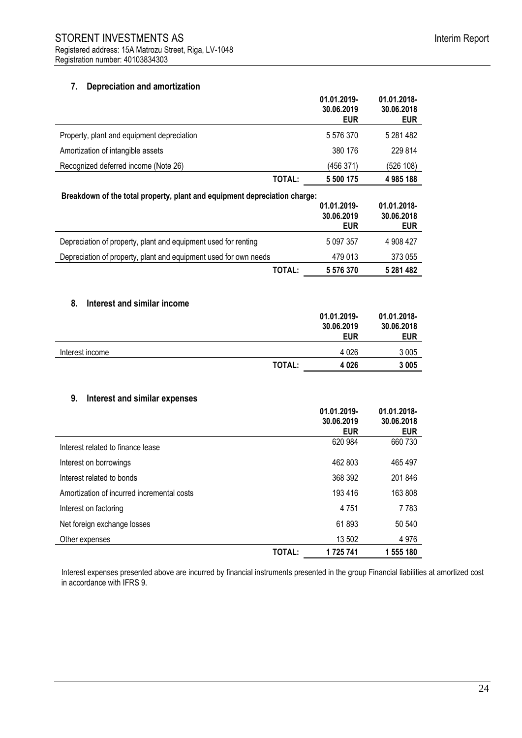### **7. Depreciation and amortization**

|                                                                           |               | 01.01.2019-<br>30.06.2019<br><b>EUR</b> | 01.01.2018-<br>30.06.2018<br><b>EUR</b> |
|---------------------------------------------------------------------------|---------------|-----------------------------------------|-----------------------------------------|
| Property, plant and equipment depreciation                                |               | 5 576 370                               | 5 281 482                               |
| Amortization of intangible assets                                         |               | 380 176                                 | 229 814                                 |
| Recognized deferred income (Note 26)                                      |               | (456 371)                               | (526 108)                               |
|                                                                           | TOTAL:        | 5 500 175                               | 4 985 188                               |
| Breakdown of the total property, plant and equipment depreciation charge: |               | 01.01.2019-<br>30.06.2019<br><b>EUR</b> | 01.01.2018-<br>30.06.2018<br><b>EUR</b> |
| Depreciation of property, plant and equipment used for renting            |               | 5 097 357                               | 4 908 427                               |
| Depreciation of property, plant and equipment used for own needs          |               | 479 013                                 | 373 055                                 |
|                                                                           | <b>TOTAL:</b> | 5 576 370                               | 5 281 482                               |
| 8.<br>Interest and similar income                                         |               | 01.01.2019-<br>30.06.2019<br><b>EUR</b> | 01.01.2018-<br>30.06.2018<br><b>EUR</b> |
| Interest income                                                           |               | 4 0 26                                  | 3 0 0 5                                 |
|                                                                           | <b>TOTAL:</b> | 4 0 26                                  | 3 0 0 5                                 |
| 9.<br>Interest and similar expenses                                       |               | 01.01.2019-<br>30.06.2019<br><b>EUR</b> | 01.01.2018-<br>30.06.2018<br><b>EUR</b> |
| Interest related to finance lease                                         |               | 620 984                                 | 660 730                                 |
| Interest on borrowings                                                    |               | 462 803                                 | 465 497                                 |
| Interest related to bonds                                                 |               | 368 392                                 | 201 846                                 |
| Amortization of incurred incremental costs                                |               | 193 416                                 | 163 808                                 |
| Interest on factoring                                                     |               | 4751                                    | 7783                                    |
| Net foreign exchange losses                                               |               | 61893                                   | 50 540                                  |
| Other expenses                                                            |               | 13 502                                  | 4 9 7 6                                 |
|                                                                           | <b>TOTAL:</b> | 1725741                                 | 1 555 180                               |

Interest expenses presented above are incurred by financial instruments presented in the group Financial liabilities at amortized cost in accordance with IFRS 9.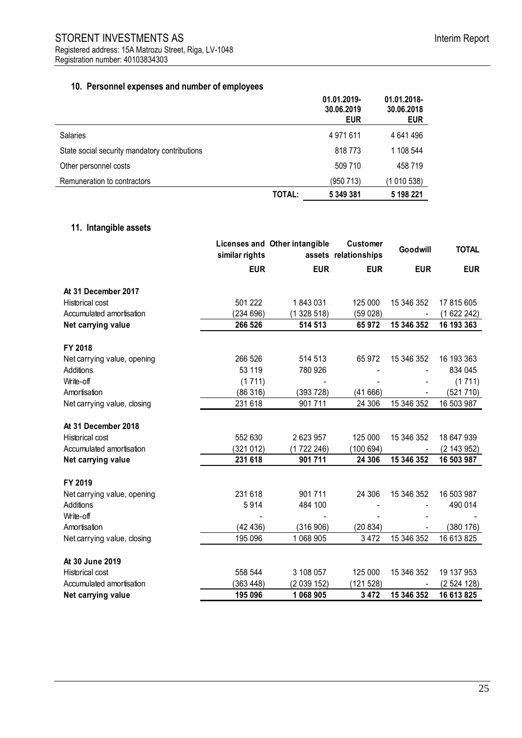# **10. Personnel expenses and number of employees**

|                                               |        | 01.01.2019-<br>30.06.2019<br><b>EUR</b> | 01.01.2018-<br>30.06.2018<br><b>EUR</b> |
|-----------------------------------------------|--------|-----------------------------------------|-----------------------------------------|
| Salaries                                      |        | 4 971 611                               | 4 641 496                               |
| State social security mandatory contributions |        | 818773                                  | 1 108 544                               |
| Other personnel costs                         |        | 509 710                                 | 458 719                                 |
| Remuneration to contractors                   |        | (950713)                                | (1 010 538)                             |
|                                               | TOTAL: | 5 349 381                               | 5 198 221                               |

# **11. Intangible assets**

|                             | similar rights | Licenses and Other intangible | <b>Customer</b><br>assets relationships | Goodwill   | <b>TOTAL</b> |
|-----------------------------|----------------|-------------------------------|-----------------------------------------|------------|--------------|
|                             | <b>EUR</b>     | <b>EUR</b>                    | <b>EUR</b>                              | <b>EUR</b> | <b>EUR</b>   |
| At 31 December 2017         |                |                               |                                         |            |              |
| <b>Historical cost</b>      | 501 222        | 1843031                       | 125 000                                 | 15 346 352 | 17 815 605   |
| Accumulated amortisation    | (234696)       | (1328518)                     | (59028)                                 |            | (1622242)    |
| Net carrying value          | 266 526        | 514 513                       | 65972                                   | 15 346 352 | 16 193 363   |
| FY 2018                     |                |                               |                                         |            |              |
| Net carrying value, opening | 266 526        | 514 513                       | 65 972                                  | 15 346 352 | 16 193 363   |
| <b>Additions</b>            | 53 119         | 780 926                       |                                         |            | 834 045      |
| Write-off                   | (1711)         |                               |                                         |            | (1711)       |
| Amortisation                | (86316)        | (393 728)                     | (41666)                                 |            | (521 710)    |
| Net carrying value, closing | 231 618        | 901711                        | 24 30 6                                 | 15 346 352 | 16 503 987   |
| At 31 December 2018         |                |                               |                                         |            |              |
| Historical cost             | 552 630        | 2 623 957                     | 125 000                                 | 15 346 352 | 18 647 939   |
| Accumulated amortisation    | (321012)       | (1722246)                     | (100694)                                |            | (2 143 952)  |
| Net carrying value          | 231 618        | 901 711                       | 24 30 6                                 | 15 346 352 | 16 503 987   |
| FY 2019                     |                |                               |                                         |            |              |
| Net carrying value, opening | 231 618        | 901711                        | 24 30 6                                 | 15 346 352 | 16 503 987   |
| Additions                   | 5914           | 484 100                       |                                         |            | 490 014      |
| Write-off                   |                |                               |                                         |            |              |
| Amortisation                | (42436)        | (316906)                      | (20834)                                 |            | (380176)     |
| Net carrying value, closing | 195 096        | 1 068 905                     | 3 4 7 2                                 | 15 346 352 | 16 613 825   |
| At 30 June 2019             |                |                               |                                         |            |              |
| <b>Historical cost</b>      | 558 544        | 3 108 057                     | 125 000                                 | 15 346 352 | 19 137 953   |
| Accumulated amortisation    | (363 448)      | (2 039 152)                   | (121528)                                |            | (2524128)    |
| Net carrying value          | 195 096        | 1068905                       | 3 4 7 2                                 | 15 346 352 | 16 613 825   |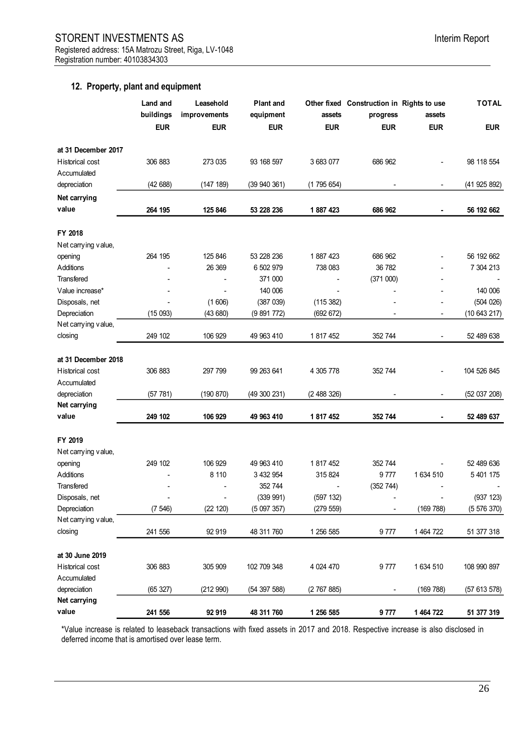### **12. Property, plant and equipment**

|                        | <b>Land and</b><br>buildings<br><b>EUR</b> | Leasehold<br>improvements<br><b>EUR</b> | <b>Plant and</b><br>equipment<br><b>EUR</b> | assets<br><b>EUR</b> | Other fixed Construction in Rights to use<br>progress<br><b>EUR</b> | assets<br><b>EUR</b> | <b>TOTAL</b><br><b>EUR</b> |
|------------------------|--------------------------------------------|-----------------------------------------|---------------------------------------------|----------------------|---------------------------------------------------------------------|----------------------|----------------------------|
|                        |                                            |                                         |                                             |                      |                                                                     |                      |                            |
| at 31 December 2017    |                                            |                                         |                                             |                      |                                                                     |                      |                            |
| <b>Historical cost</b> | 306 883                                    | 273 035                                 | 93 168 597                                  | 3 683 077            | 686 962                                                             |                      | 98 118 554                 |
| Accumulated            |                                            |                                         |                                             |                      |                                                                     |                      |                            |
| depreciation           | (42688)                                    | (147 189)                               | (39940361)                                  | (1795654)            |                                                                     |                      | (41925892)                 |
| Net carrying           |                                            |                                         |                                             |                      |                                                                     |                      |                            |
| value                  | 264 195                                    | 125 846                                 | 53 228 236                                  | 1887423              | 686 962                                                             |                      | 56 192 662                 |
| FY 2018                |                                            |                                         |                                             |                      |                                                                     |                      |                            |
| Net carrying value,    |                                            |                                         |                                             |                      |                                                                     |                      |                            |
| opening                | 264 195                                    | 125 846                                 | 53 228 236                                  | 1887423              | 686 962                                                             |                      | 56 192 662                 |
| Additions              |                                            | 26 369                                  | 6 502 979                                   | 738 083              | 36 782                                                              |                      | 7 304 213                  |
| Transfered             |                                            |                                         | 371 000                                     |                      | (371000)                                                            |                      |                            |
| Value increase*        |                                            |                                         | 140 006                                     |                      |                                                                     |                      | 140 006                    |
| Disposals, net         |                                            | (1606)                                  | (387 039)                                   | (115 382)            |                                                                     |                      | (504 026)                  |
| Depreciation           | (15093)                                    | (43680)                                 | (9891772)                                   | (692 672)            |                                                                     | $\blacksquare$       | (10643217)                 |
| Net carrying value,    |                                            |                                         |                                             |                      |                                                                     |                      |                            |
| closing                | 249 102                                    | 106 929                                 | 49 963 410                                  | 1817452              | 352 744                                                             |                      | 52 489 638                 |
| at 31 December 2018    |                                            |                                         |                                             |                      |                                                                     |                      |                            |
| Historical cost        | 306 883                                    | 297 799                                 | 99 263 641                                  | 4 305 778            | 352 744                                                             |                      | 104 526 845                |
| Accumulated            |                                            |                                         |                                             |                      |                                                                     |                      |                            |
| depreciation           | (57 781)                                   | (190 870)                               | (49300231)                                  | (2488326)            |                                                                     |                      | (52 037 208)               |
| Net carrying           |                                            |                                         |                                             |                      |                                                                     |                      |                            |
| value                  | 249 102                                    | 106 929                                 | 49 963 410                                  | 1 817 452            | 352 744                                                             |                      | 52 489 637                 |
| FY 2019                |                                            |                                         |                                             |                      |                                                                     |                      |                            |
| Net carrying value,    |                                            |                                         |                                             |                      |                                                                     |                      |                            |
| opening                | 249 102                                    | 106 929                                 | 49 963 410                                  | 1 817 452            | 352 744                                                             |                      | 52 489 636                 |
| Additions              |                                            | 8 1 1 0                                 | 3 432 954                                   | 315 824              | 9777                                                                | 1 634 510            | 5 401 175                  |
| Transfered             |                                            |                                         | 352 744                                     |                      | (352 744)                                                           |                      |                            |
| Disposals, net         | $\overline{\phantom{a}}$                   | $\frac{1}{2}$                           | (339991)                                    | (597 132)            |                                                                     |                      | (937 123)                  |
| Depreciation           | (7546)                                     | (22 120)                                | (5097357)                                   | (279 559)            |                                                                     | (169 788)            | (5576370)                  |
| Net carrying value,    |                                            |                                         |                                             |                      |                                                                     |                      |                            |
| closing                | 241 556                                    | 92 919                                  | 48 311 760                                  | 1 256 585            | 9777                                                                | 1 464 722            | 51 377 318                 |
| at 30 June 2019        |                                            |                                         |                                             |                      |                                                                     |                      |                            |
| <b>Historical cost</b> | 306 883                                    | 305 909                                 | 102 709 348                                 | 4 0 24 4 70          | 9777                                                                | 1 634 510            | 108 990 897                |
| Accumulated            |                                            |                                         |                                             |                      |                                                                     |                      |                            |
| depreciation           | (65327)                                    | (212990)                                | (54 397 588)                                | (2767885)            |                                                                     | (169788)             | (57613578)                 |
| Net carrying           |                                            |                                         |                                             |                      |                                                                     |                      |                            |
| value                  | 241 556                                    | 92 919                                  | 48 311 760                                  | 1 256 585            | 9777                                                                | 1 464 722            | 51 377 319                 |

\*Value increase is related to leaseback transactions with fixed assets in 2017 and 2018. Respective increase is also disclosed in deferred income that is amortised over lease term.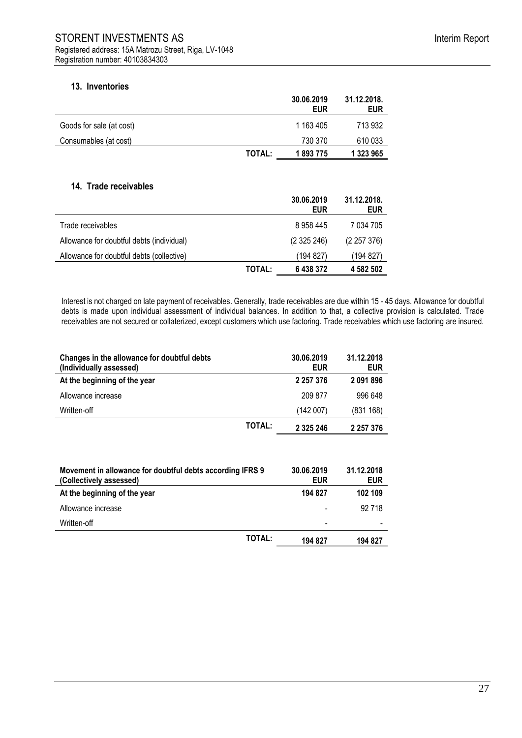### **13. Inventories**

|                          |               | 30.06.2019<br>EUR | 31.12.2018.<br>EUR |
|--------------------------|---------------|-------------------|--------------------|
| Goods for sale (at cost) |               | 1 163 405         | 713 932            |
| Consumables (at cost)    |               | 730 370           | 610 033            |
|                          | <b>TOTAL:</b> | 1893775           | 1 323 965          |

#### **14. Trade receivables**

|                                           |               | 30.06.2019<br><b>EUR</b> | 31.12.2018.<br><b>EUR</b> |
|-------------------------------------------|---------------|--------------------------|---------------------------|
| Trade receivables                         |               | 8958445                  | 7 034 705                 |
| Allowance for doubtful debts (individual) |               | (2325246)                | (2257376)                 |
| Allowance for doubtful debts (collective) |               | (194 827)                | (194 827)                 |
|                                           | <b>TOTAL:</b> | 6438372                  | 4 582 502                 |

Interest is not charged on late payment of receivables. Generally, trade receivables are due within 15 - 45 days. Allowance for doubtful debts is made upon individual assessment of individual balances. In addition to that, a collective provision is calculated. Trade receivables are not secured or collaterized, except customers which use factoring. Trade receivables which use factoring are insured.

| Changes in the allowance for doubtful debts<br>(Individually assessed) |               | 30.06.2019<br><b>EUR</b> | 31.12.2018<br><b>EUR</b> |
|------------------------------------------------------------------------|---------------|--------------------------|--------------------------|
| At the beginning of the year                                           |               | 2 2 5 7 3 7 6            | 2091896                  |
| Allowance increase                                                     |               | 209 877                  | 996 648                  |
| Written-off                                                            |               | (142007)                 | (831 168)                |
|                                                                        | <b>TOTAL:</b> | 2 3 2 5 2 4 6            | 2 2 5 7 3 7 6            |

| Movement in allowance for doubtful debts according IFRS 9<br>(Collectively assessed) |               | 30.06.2019<br><b>EUR</b> | 31.12.2018<br>EUR |
|--------------------------------------------------------------------------------------|---------------|--------------------------|-------------------|
| At the beginning of the year                                                         |               | 194 827                  | 102 109           |
| Allowance increase                                                                   |               |                          | 92 718            |
| Written-off                                                                          |               | $\overline{\phantom{0}}$ |                   |
|                                                                                      | <b>TOTAL:</b> | 194 827                  | 194 827           |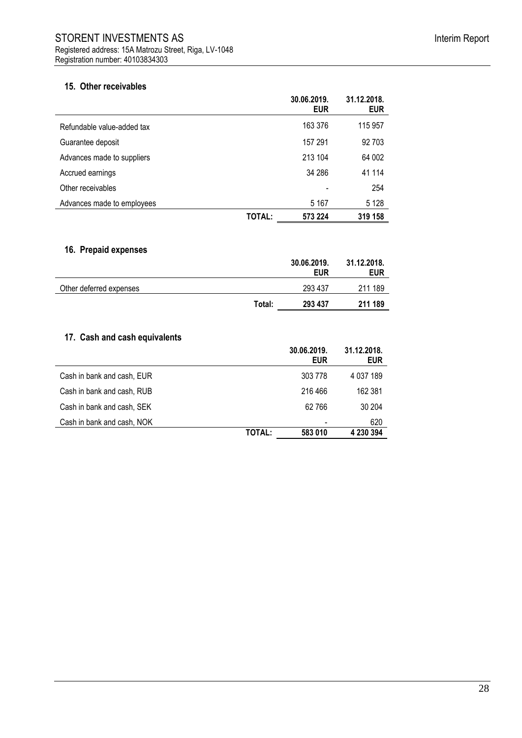|                            |        | 30.06.2019.<br><b>EUR</b> | 31.12.2018.<br><b>EUR</b> |
|----------------------------|--------|---------------------------|---------------------------|
| Refundable value-added tax |        | 163 376                   | 115 957                   |
| Guarantee deposit          |        | 157 291                   | 92 703                    |
| Advances made to suppliers |        | 213 104                   | 64 002                    |
| Accrued earnings           |        | 34 286                    | 41 114                    |
| Other receivables          |        |                           | 254                       |
| Advances made to employees |        | 5 1 6 7                   | 5 1 2 8                   |
|                            | TOTAL: | 573 224                   | 319 158                   |

# **16. Prepaid expenses**

|                         |        | 30.06.2019.<br><b>EUR</b> | 31.12.2018.<br><b>EUR</b> |
|-------------------------|--------|---------------------------|---------------------------|
| Other deferred expenses |        | 293 437                   | 211 189                   |
|                         | Total: | 293 437                   | 211 189                   |

# **17. Cash and cash equivalents**

|                            |        | 30.06.2019.<br><b>EUR</b> | 31.12.2018.<br><b>EUR</b> |
|----------------------------|--------|---------------------------|---------------------------|
| Cash in bank and cash, EUR |        | 303 778                   | 4 037 189                 |
| Cash in bank and cash, RUB |        | 216 466                   | 162 381                   |
| Cash in bank and cash, SEK |        | 62 766                    | 30 204                    |
| Cash in bank and cash, NOK |        |                           | 620                       |
|                            | TOTAL: | 583 010                   | 4 230 394                 |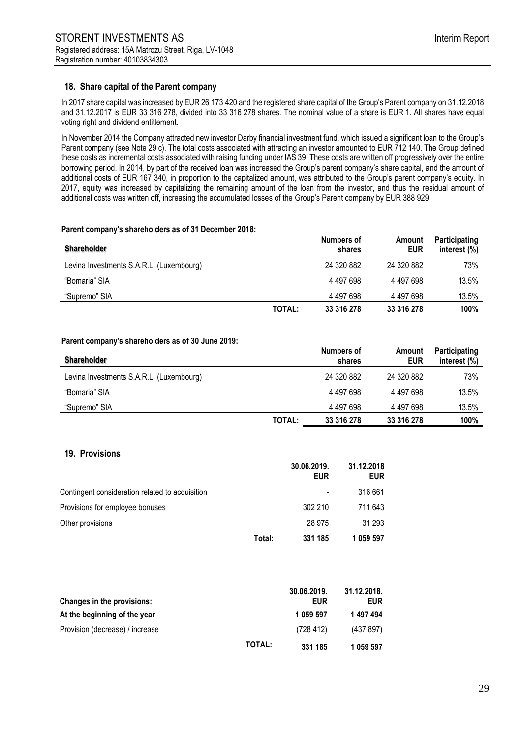### **18. Share capital of the Parent company**

In 2017 share capital was increased by EUR 26 173 420 and the registered share capital of the Group's Parent company on 31.12.2018 and 31.12.2017 is EUR 33 316 278, divided into 33 316 278 shares. The nominal value of a share is EUR 1. All shares have equal voting right and dividend entitlement.

In November 2014 the Company attracted new investor Darby financial investment fund, which issued a significant loan to the Group's Parent company (see Note 29 c). The total costs associated with attracting an investor amounted to EUR 712 140. The Group defined these costs as incremental costs associated with raising funding under IAS 39. These costs are written off progressively over the entire borrowing period. In 2014, by part of the received loan was increased the Group's parent company's share capital, and the amount of additional costs of EUR 167 340, in proportion to the capitalized amount, was attributed to the Group's parent company's equity. In 2017, equity was increased by capitalizing the remaining amount of the loan from the investor, and thus the residual amount of additional costs was written off, increasing the accumulated losses of the Group's Parent company by EUR 388 929.

#### **Parent company's shareholders as of 31 December 2018:**

| <b>Shareholder</b>                       |        | Numbers of<br>shares | Amount<br>EUR | Participating<br>interest (%) |
|------------------------------------------|--------|----------------------|---------------|-------------------------------|
| Levina Investments S.A.R.L. (Luxembourg) |        | 24 320 882           | 24 320 882    | 73%                           |
| "Bomaria" SIA                            |        | 4 497 698            | 4 497 698     | 13.5%                         |
| "Supremo" SIA                            |        | 4 497 698            | 4 497 698     | 13.5%                         |
|                                          | TOTAL: | 33 316 278           | 33 316 278    | 100%                          |

#### **Parent company's shareholders as of 30 June 2019:**

| <b>Shareholder</b>                       |        | Numbers of<br>shares | Amount<br>EUR | Participating<br>interest $(\%)$ |
|------------------------------------------|--------|----------------------|---------------|----------------------------------|
| Levina Investments S.A.R.L. (Luxembourg) |        | 24 320 882           | 24 320 882    | 73%                              |
| "Bomaria" SIA                            |        | 4 497 698            | 4 497 698     | 13.5%                            |
| "Supremo" SIA                            |        | 4 497 698            | 4 497 698     | 13.5%                            |
|                                          | TOTAL: | 33 316 278           | 33 316 278    | 100%                             |

#### **19. Provisions**

|                                                 |        | 30.06.2019.<br><b>EUR</b> | 31.12.2018<br><b>EUR</b> |
|-------------------------------------------------|--------|---------------------------|--------------------------|
| Contingent consideration related to acquisition |        | $\overline{\phantom{a}}$  | 316 661                  |
| Provisions for employee bonuses                 |        | 302 210                   | 711 643                  |
| Other provisions                                |        | 28 975                    | 31 293                   |
|                                                 | Total: | 331 185                   | 1 059 597                |

| <b>Changes in the provisions:</b> |               | 30.06.2019.<br><b>EUR</b> | 31.12.2018.<br><b>EUR</b> |
|-----------------------------------|---------------|---------------------------|---------------------------|
| At the beginning of the year      |               | 1 059 597                 | 1 497 494                 |
| Provision (decrease) / increase   |               | (728 412)                 | (437 897)                 |
|                                   | <b>TOTAL:</b> | 331 185                   | 1 0 59 5 9 7              |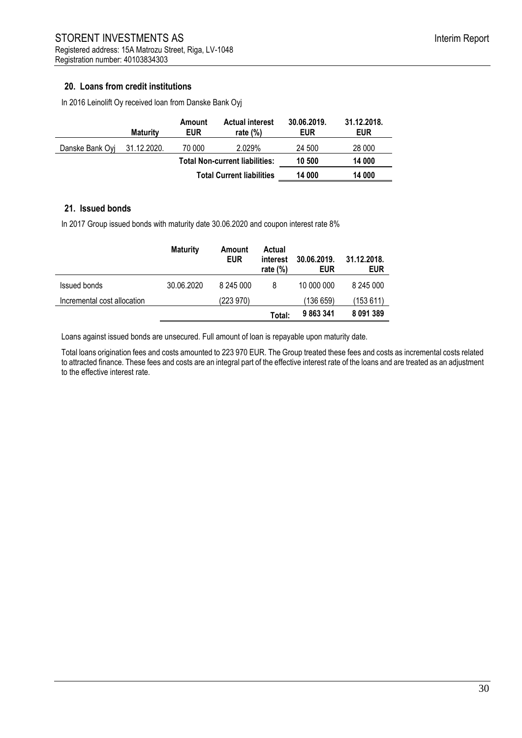## **20. Loans from credit institutions**

In 2016 Leinolift Oy received loan from Danske Bank Oyj

|                 | <b>Maturity</b> | Amount<br><b>EUR</b>                  | <b>Actual interest</b><br>rate $(\%)$ | 30.06.2019.<br><b>EUR</b> | 31.12.2018.<br><b>EUR</b> |
|-----------------|-----------------|---------------------------------------|---------------------------------------|---------------------------|---------------------------|
| Danske Bank Ovi | 31.12.2020.     | 70 000                                | 2.029%                                | 24 500                    | 28 000                    |
|                 |                 | <b>Total Non-current liabilities:</b> |                                       | 10 500                    | 14 000                    |
|                 |                 | <b>Total Current liabilities</b>      |                                       | 14 000                    | 14 000                    |

### **21. Issued bonds**

In 2017 Group issued bonds with maturity date 30.06.2020 and coupon interest rate 8%

|                             | <b>Maturity</b> | Amount<br><b>EUR</b> | Actual<br>interest<br>rate $(\%)$ | 30.06.2019.<br><b>EUR</b> | 31.12.2018.<br><b>EUR</b> |
|-----------------------------|-----------------|----------------------|-----------------------------------|---------------------------|---------------------------|
| <b>Issued bonds</b>         | 30.06.2020      | 8 245 000            | 8                                 | 10 000 000                | 8 245 000                 |
| Incremental cost allocation |                 | (223 970)            |                                   | (136 659)                 | (153 611)                 |
|                             |                 |                      | Total:                            | 9 863 341                 | 8 091 389                 |

Loans against issued bonds are unsecured. Full amount of loan is repayable upon maturity date.

Total loans origination fees and costs amounted to 223 970 EUR. The Group treated these fees and costs as incremental costs related to attracted finance. These fees and costs are an integral part of the effective interest rate of the loans and are treated as an adjustment to the effective interest rate.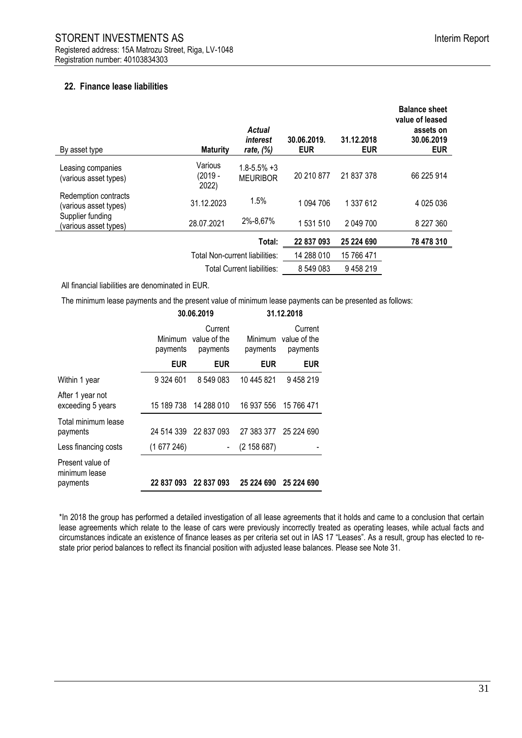# **22. Finance lease liabilities**

| By asset type                                 | <b>Maturity</b>                   | Actual<br>interest<br>rate, $(\%)$   | 30.06.2019.<br><b>EUR</b> | 31.12.2018<br><b>EUR</b> | <b>Balance sheet</b><br>value of leased<br>assets on<br>30.06.2019<br><b>EUR</b> |
|-----------------------------------------------|-----------------------------------|--------------------------------------|---------------------------|--------------------------|----------------------------------------------------------------------------------|
| Leasing companies<br>(various asset types)    | Various<br>(2019 -<br>2022)       | $1.8 - 5.5\% + 3$<br><b>MEURIBOR</b> | 20 210 877                | 21 837 378               | 66 225 914                                                                       |
| Redemption contracts<br>(various asset types) | 31.12.2023                        | 1.5%                                 | 1 094 706                 | 1 337 612                | 4 025 036                                                                        |
| Supplier funding<br>(various asset types)     | 28.07.2021                        | 2%-8,67%                             | 1 531 510                 | 2 049 700                | 8 227 360                                                                        |
|                                               |                                   | Total:                               | 22 837 093                | 25 224 690               | 78 478 310                                                                       |
|                                               |                                   | Total Non-current liabilities:       | 14 288 010                | 15 766 471               |                                                                                  |
|                                               | <b>Total Current liabilities:</b> |                                      | 8 549 083                 | 9458219                  |                                                                                  |

All financial liabilities are denominated in EUR.

The minimum lease payments and the present value of minimum lease payments can be presented as follows:

|                                               |                                                                   | 30.06.2019            | 31.12.2018          |                                     |  |
|-----------------------------------------------|-------------------------------------------------------------------|-----------------------|---------------------|-------------------------------------|--|
|                                               | Current<br><b>Minimum</b><br>value of the<br>payments<br>payments |                       | Minimum<br>payments | Current<br>value of the<br>payments |  |
|                                               | <b>EUR</b>                                                        | <b>EUR</b>            | <b>EUR</b>          | <b>EUR</b>                          |  |
| Within 1 year                                 | 9 324 601                                                         | 8 549 083             | 10 445 821          | 9458219                             |  |
| After 1 year not<br>exceeding 5 years         | 15 189 738                                                        | 14 288 010            |                     | 16 937 556 15 766 471               |  |
| Total minimum lease<br>payments               |                                                                   | 24 514 339 22 837 093 |                     | 27 383 377 25 224 690               |  |
| Less financing costs                          | (1677246)                                                         |                       | (2 158 687)         |                                     |  |
| Present value of<br>minimum lease<br>payments |                                                                   | 22 837 093 22 837 093 | 25 224 690          | 25 224 690                          |  |

\*In 2018 the group has performed a detailed investigation of all lease agreements that it holds and came to a conclusion that certain lease agreements which relate to the lease of cars were previously incorrectly treated as operating leases, while actual facts and circumstances indicate an existence of finance leases as per criteria set out in IAS 17 "Leases". As a result, group has elected to restate prior period balances to reflect its financial position with adjusted lease balances. Please see Note 31.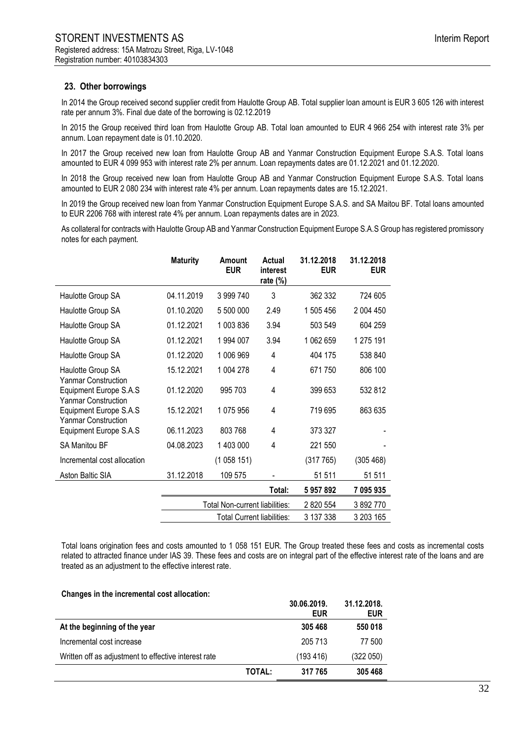### **23. Other borrowings**

In 2014 the Group received second supplier credit from Haulotte Group AB. Total supplier loan amount is EUR 3 605 126 with interest rate per annum 3%. Final due date of the borrowing is 02.12.2019

In 2015 the Group received third loan from Haulotte Group AB. Total loan amounted to EUR 4 966 254 with interest rate 3% per annum. Loan repayment date is 01.10.2020.

In 2017 the Group received new loan from Haulotte Group AB and Yanmar Construction Equipment Europe S.A.S. Total loans amounted to EUR 4 099 953 with interest rate 2% per annum. Loan repayments dates are 01.12.2021 and 01.12.2020.

In 2018 the Group received new loan from Haulotte Group AB and Yanmar Construction Equipment Europe S.A.S. Total loans amounted to EUR 2 080 234 with interest rate 4% per annum. Loan repayments dates are 15.12.2021.

In 2019 the Group received new loan from Yanmar Construction Equipment Europe S.A.S. and SA Maitou BF. Total loans amounted to EUR 2206 768 with interest rate 4% per annum. Loan repayments dates are in 2023.

As collateral for contracts with Haulotte Group AB and Yanmar Construction Equipment Europe S.A.S Group has registered promissory notes for each payment.

|                                                      | <b>Maturity</b> | Amount<br><b>EUR</b>              | Actual<br>interest<br>rate $(\%)$ | 31.12.2018<br><b>EUR</b> | 31.12.2018<br><b>EUR</b> |
|------------------------------------------------------|-----------------|-----------------------------------|-----------------------------------|--------------------------|--------------------------|
| Haulotte Group SA                                    | 04.11.2019      | 3 999 740                         | 3                                 | 362 332                  | 724 605                  |
| Haulotte Group SA                                    | 01.10.2020      | 5 500 000                         | 2.49                              | 1 505 456                | 2 004 450                |
| Haulotte Group SA                                    | 01.12.2021      | 1 003 836                         | 3.94                              | 503 549                  | 604 259                  |
| Haulotte Group SA                                    | 01.12.2021      | 1 994 007                         | 3.94                              | 1 062 659                | 1 275 191                |
| Haulotte Group SA                                    | 01.12.2020      | 1 006 969                         | 4                                 | 404 175                  | 538 840                  |
| Haulotte Group SA<br>Yanmar Construction             | 15.12.2021      | 1 004 278                         | 4                                 | 671750                   | 806 100                  |
| Equipment Europe S.A.S<br><b>Yanmar Construction</b> | 01.12.2020      | 995 703                           | 4                                 | 399 653                  | 532 812                  |
| Equipment Europe S.A.S<br><b>Yanmar Construction</b> | 15.12.2021      | 1075956                           | 4                                 | 719 695                  | 863 635                  |
| Equipment Europe S.A.S                               | 06.11.2023      | 803 768                           | 4                                 | 373 327                  |                          |
| <b>SA Manitou BF</b>                                 | 04.08.2023      | 1 403 000                         | 4                                 | 221 550                  |                          |
| Incremental cost allocation                          |                 | (1058151)                         |                                   | (317765)                 | (305 468)                |
| Aston Baltic SIA                                     | 31.12.2018      | 109 575                           |                                   | 51 511                   | 51 511                   |
|                                                      |                 |                                   | Total:                            | 5957892                  | 7 095 935                |
|                                                      |                 | Total Non-current liabilities:    |                                   | 2 820 554                | 3 892 770                |
|                                                      |                 | <b>Total Current liabilities:</b> | 3 137 338                         | 3 203 165                |                          |

Total loans origination fees and costs amounted to 1 058 151 EUR. The Group treated these fees and costs as incremental costs related to attracted finance under IAS 39. These fees and costs are on integral part of the effective interest rate of the loans and are treated as an adjustment to the effective interest rate.

|  |  |  | Changes in the incremental cost allocation: |  |  |
|--|--|--|---------------------------------------------|--|--|
|--|--|--|---------------------------------------------|--|--|

|                                                      |        | 30.06.2019.<br>EUR | 31.12.2018.<br><b>EUR</b> |
|------------------------------------------------------|--------|--------------------|---------------------------|
| At the beginning of the year                         |        | 305 468            | 550 018                   |
| Incremental cost increase                            |        | 205 713            | 77 500                    |
| Written off as adjustment to effective interest rate |        | (193 416)          | (322 050)                 |
|                                                      | TOTAL: | 317 765            | 305 468                   |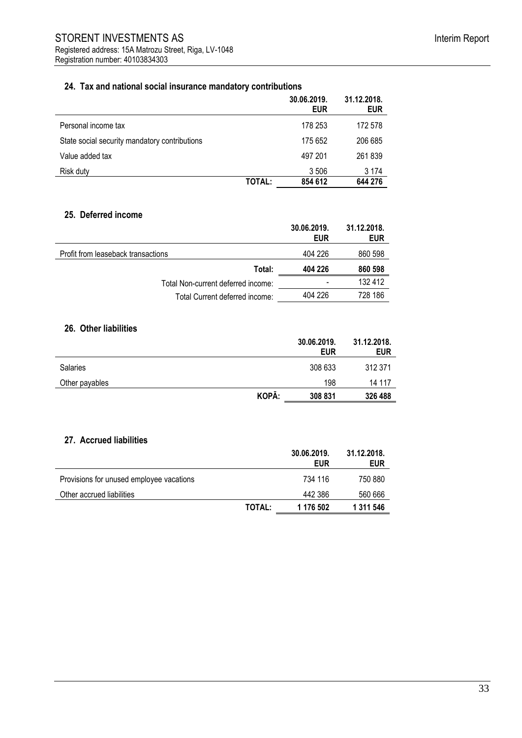# **24. Tax and national social insurance mandatory contributions**

|                                               |        | 30.06.2019.<br><b>EUR</b> | 31.12.2018.<br><b>EUR</b> |
|-----------------------------------------------|--------|---------------------------|---------------------------|
| Personal income tax                           |        | 178 253                   | 172 578                   |
| State social security mandatory contributions |        | 175 652                   | 206 685                   |
| Value added tax                               |        | 497 201                   | 261839                    |
| Risk duty                                     |        | 3 506                     | 3 1 7 4                   |
|                                               | TOTAL: | 854 612                   | 644 276                   |

### **25. Deferred income**

|                                    | 30.06.2019.<br><b>EUR</b> | 31.12.2018.<br><b>EUR</b> |
|------------------------------------|---------------------------|---------------------------|
| Profit from leaseback transactions | 404 226                   | 860 598                   |
| Total:                             | 404 226                   | 860 598                   |
| Total Non-current deferred income: | -                         | 132 412                   |
| Total Current deferred income:     | 404 226                   | 728 186                   |

#### **26. Other liabilities**

|                 |       | 30.06.2019.<br><b>EUR</b> | 31.12.2018.<br><b>EUR</b> |
|-----------------|-------|---------------------------|---------------------------|
| <b>Salaries</b> |       | 308 633                   | 312 371                   |
| Other payables  |       | 198                       | 14 117                    |
|                 | KOPĀ: | 308 831                   | 326 488                   |

### **27. Accrued liabilities**

|                                          |        | 30.06.2019.<br><b>EUR</b> | 31.12.2018.<br><b>EUR</b> |
|------------------------------------------|--------|---------------------------|---------------------------|
| Provisions for unused employee vacations |        | 734 116                   | 750 880                   |
| Other accrued liabilities                |        | 442 386                   | 560 666                   |
|                                          | TOTAL: | 1 176 502                 | 1 311 546                 |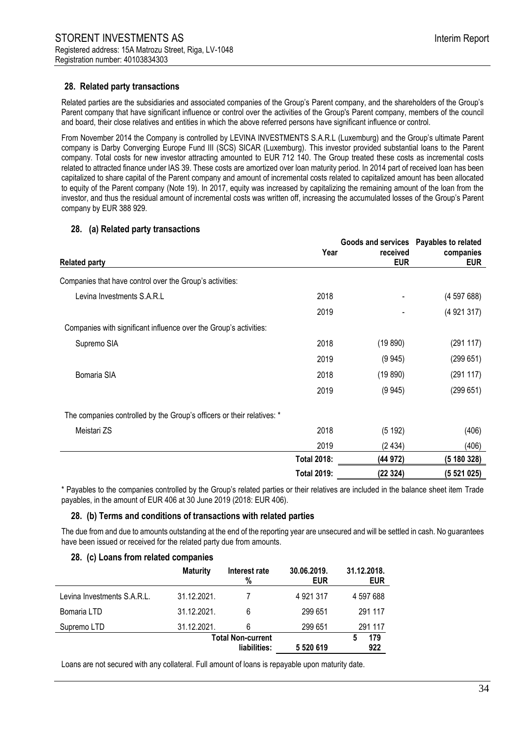### **28. Related party transactions**

Related parties are the subsidiaries and associated companies of the Group's Parent company, and the shareholders of the Group's Parent company that have significant influence or control over the activities of the Group's Parent company, members of the council and board, their close relatives and entities in which the above referred persons have significant influence or control.

From November 2014 the Company is controlled by LEVINA INVESTMENTS S.A.R.L (Luxemburg) and the Group's ultimate Parent company is Darby Converging Europe Fund III (SCS) SICAR (Luxemburg). This investor provided substantial loans to the Parent company. Total costs for new investor attracting amounted to EUR 712 140. The Group treated these costs as incremental costs related to attracted finance under IAS 39. These costs are amortized over loan maturity period. In 2014 part of received loan has been capitalized to share capital of the Parent company and amount of incremental costs related to capitalized amount has been allocated to equity of the Parent company (Note 19). In 2017, equity was increased by capitalizing the remaining amount of the loan from the investor, and thus the residual amount of incremental costs was written off, increasing the accumulated losses of the Group's Parent company by EUR 388 929.

#### **28. (a) Related party transactions**

| <b>Related party</b>                                                   | Year               | Goods and services Payables to related<br>received<br><b>EUR</b> | companies<br><b>EUR</b> |
|------------------------------------------------------------------------|--------------------|------------------------------------------------------------------|-------------------------|
| Companies that have control over the Group's activities:               |                    |                                                                  |                         |
| Levina Investments S.A.R.L                                             | 2018               |                                                                  | (459768)                |
|                                                                        | 2019               |                                                                  | (4921317)               |
| Companies with significant influence over the Group's activities:      |                    |                                                                  |                         |
| Supremo SIA                                                            | 2018               | (19 890)                                                         | (291 117)               |
|                                                                        | 2019               | (9945)                                                           | (299651)                |
| Bomaria SIA                                                            | 2018               | (19 890)                                                         | (291 117)               |
|                                                                        | 2019               | (9945)                                                           | (299651)                |
| The companies controlled by the Group's officers or their relatives: * |                    |                                                                  |                         |
| Meistari ZS                                                            | 2018               | (5192)                                                           | (406)                   |
|                                                                        | 2019               | (2434)                                                           | (406)                   |
|                                                                        | <b>Total 2018:</b> | (44 972)                                                         | (5 180 328)             |
|                                                                        | <b>Total 2019:</b> | (22324)                                                          | (5521025)               |

\* Payables to the companies controlled by the Group's related parties or their relatives are included in the balance sheet item Trade payables, in the amount of EUR 406 at 30 June 2019 (2018: EUR 406).

#### **28. (b) Terms and conditions of transactions with related parties**

The due from and due to amounts outstanding at the end of the reporting year are unsecured and will be settled in cash. No guarantees have been issued or received for the related party due from amounts.

#### **28. (c) Loans from related companies**

|                             | <b>Maturity</b> | Interest rate<br>%                       | 30.06.2019.<br><b>EUR</b> | 31.12.2018.<br><b>EUR</b> |
|-----------------------------|-----------------|------------------------------------------|---------------------------|---------------------------|
| Levina Investments S.A.R.L. | 31.12.2021.     |                                          | 4 9 21 317                | 4 597 688                 |
| Bomaria LTD                 | 31.12.2021.     | 6                                        | 299 651                   | 291 117                   |
| Supremo LTD                 | 31.12.2021.     | 6                                        | 299 651                   | 291 117                   |
|                             |                 | <b>Total Non-current</b><br>liabilities: | 5 5 20 6 19               | 179<br>922                |

Loans are not secured with any collateral. Full amount of loans is repayable upon maturity date.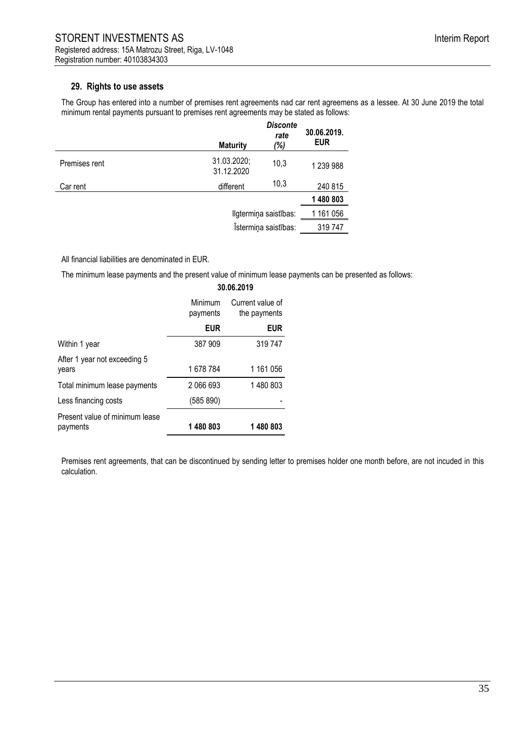### **29. Rights to use assets**

The Group has entered into a number of premises rent agreements nad car rent agreemens as a lessee. At 30 June 2019 the total minimum rental payments pursuant to premises rent agreements may be stated as follows:

|               | <b>Maturity</b>           | <b>Disconte</b><br>rate<br>(%) | 30.06.2019.<br><b>EUR</b> |
|---------------|---------------------------|--------------------------------|---------------------------|
| Premises rent | 31.03.2020;<br>31.12.2020 | 10,3                           | 1 239 988                 |
| Car rent      | different                 | 10,3                           | 240 815                   |
|               |                           |                                | 1480803                   |
|               | Ilgtermiņa saistības:     |                                | 1 161 056                 |
|               |                           | Istermiņa saistības:           | 319 747                   |
|               |                           |                                |                           |

All financial liabilities are denominated in EUR.

The minimum lease payments and the present value of minimum lease payments can be presented as follows:

|                                            | 30.06.2019                                              |            |  |
|--------------------------------------------|---------------------------------------------------------|------------|--|
|                                            | Minimum<br>Current value of<br>the payments<br>payments |            |  |
|                                            | <b>EUR</b>                                              | <b>EUR</b> |  |
| Within 1 year                              | 387 909                                                 | 319747     |  |
| After 1 year not exceeding 5<br>years      | 1678784                                                 | 1 161 056  |  |
| Total minimum lease payments               | 2 066 693                                               | 1480803    |  |
| Less financing costs                       | (585 890)                                               |            |  |
| Present value of minimum lease<br>payments | 1480803                                                 | 1480803    |  |

Premises rent agreements, that can be discontinued by sending letter to premises holder one month before, are not incuded in this calculation.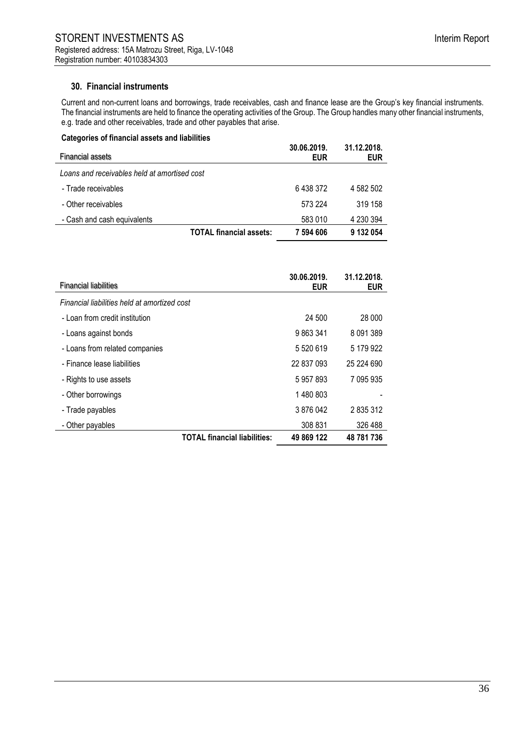# **30. Financial instruments**

Current and non-current loans and borrowings, trade receivables, cash and finance lease are the Group's key financial instruments. The financial instruments are held to finance the operating activities of the Group. The Group handles many other financial instruments, e.g. trade and other receivables, trade and other payables that arise.

| Categories of financial assets and liabilities |                           |                           |
|------------------------------------------------|---------------------------|---------------------------|
| <b>Financial assets</b>                        | 30.06.2019.<br><b>EUR</b> | 31.12.2018.<br><b>EUR</b> |
| Loans and receivables held at amortised cost   |                           |                           |
| - Trade receivables                            | 6438372                   | 4 582 502                 |
| - Other receivables                            | 573 224                   | 319 158                   |
| - Cash and cash equivalents                    | 583 010                   | 4 230 394                 |
| <b>TOTAL financial assets:</b>                 | 7 594 606                 | 9 132 054                 |

| <b>Financial liabilities</b>                 |                                     | 30.06.2019.<br><b>EUR</b> | 31.12.2018.<br><b>EUR</b> |
|----------------------------------------------|-------------------------------------|---------------------------|---------------------------|
| Financial liabilities held at amortized cost |                                     |                           |                           |
| - Loan from credit institution               |                                     | 24 500                    | 28 000                    |
| - Loans against bonds                        |                                     | 9863341                   | 8 0 9 1 3 8 9             |
| - Loans from related companies               |                                     | 5 5 20 6 19               | 5 179 922                 |
| - Finance lease liabilities                  |                                     | 22 837 093                | 25 224 690                |
| - Rights to use assets                       |                                     | 5957893                   | 7 095 935                 |
| - Other borrowings                           |                                     | 1480803                   |                           |
| - Trade payables                             |                                     | 3876042                   | 2 835 312                 |
| - Other payables                             |                                     | 308 831                   | 326 488                   |
|                                              | <b>TOTAL financial liabilities:</b> | 49 869 122                | 48 781 736                |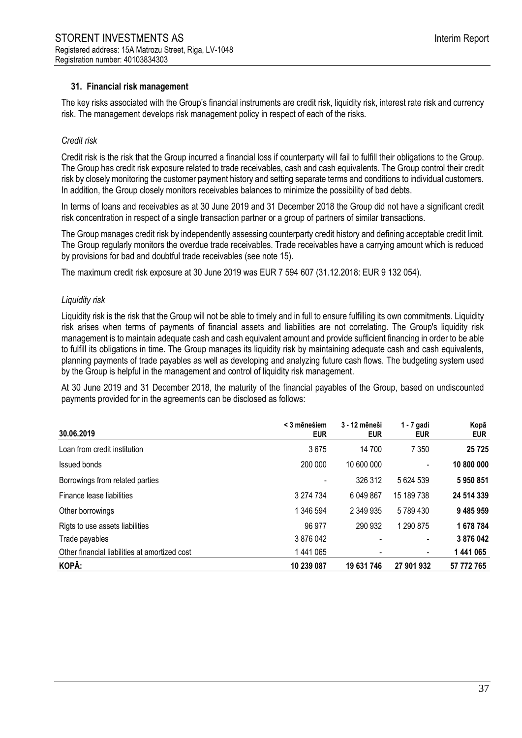### **31. Financial risk management**

The key risks associated with the Group's financial instruments are credit risk, liquidity risk, interest rate risk and currency risk. The management develops risk management policy in respect of each of the risks.

#### *Credit risk*

Credit risk is the risk that the Group incurred a financial loss if counterparty will fail to fulfill their obligations to the Group. The Group has credit risk exposure related to trade receivables, cash and cash equivalents. The Group control their credit risk by closely monitoring the customer payment history and setting separate terms and conditions to individual customers. In addition, the Group closely monitors receivables balances to minimize the possibility of bad debts.

In terms of loans and receivables as at 30 June 2019 and 31 December 2018 the Group did not have a significant credit risk concentration in respect of a single transaction partner or a group of partners of similar transactions.

The Group manages credit risk by independently assessing counterparty credit history and defining acceptable credit limit. The Group regularly monitors the overdue trade receivables. Trade receivables have a carrying amount which is reduced by provisions for bad and doubtful trade receivables (see note 15).

The maximum credit risk exposure at 30 June 2019 was EUR 7 594 607 (31.12.2018: EUR 9 132 054).

#### *Liquidity risk*

Liquidity risk is the risk that the Group will not be able to timely and in full to ensure fulfilling its own commitments. Liquidity risk arises when terms of payments of financial assets and liabilities are not correlating. The Group's liquidity risk management is to maintain adequate cash and cash equivalent amount and provide sufficient financing in order to be able to fulfill its obligations in time. The Group manages its liquidity risk by maintaining adequate cash and cash equivalents, planning payments of trade payables as well as developing and analyzing future cash flows. The budgeting system used by the Group is helpful in the management and control of liquidity risk management.

At 30 June 2019 and 31 December 2018, the maturity of the financial payables of the Group, based on undiscounted payments provided for in the agreements can be disclosed as follows:

| 30.06.2019                                    | < 3 mēnešiem<br><b>EUR</b> | 3 - 12 mēneši<br><b>EUR</b> | $1 - 7$ gadi<br><b>EUR</b> | Kopā<br><b>EUR</b> |
|-----------------------------------------------|----------------------------|-----------------------------|----------------------------|--------------------|
| Loan from credit institution                  | 3675                       | 14 700                      | 7 3 5 0                    | 25725              |
| Issued bonds                                  | 200 000                    | 10 600 000                  |                            | 10 800 000         |
| Borrowings from related parties               |                            | 326 312                     | 5 624 539                  | 5950851            |
| Finance lease liabilities                     | 3 274 734                  | 6 049 867                   | 15 189 738                 | 24 514 339         |
| Other borrowings                              | 1 346 594                  | 2 349 935                   | 5789430                    | 9 485 959          |
| Rigts to use assets liabilities               | 96 977                     | 290 932                     | 1 290 875                  | 1678784            |
| Trade payables                                | 3876042                    |                             |                            | 3876042            |
| Other financial liabilities at amortized cost | 1441065                    |                             |                            | 1 441 065          |
| KOPĀ:                                         | 10 239 087                 | 19 631 746                  | 27 901 932                 | 57 772 765         |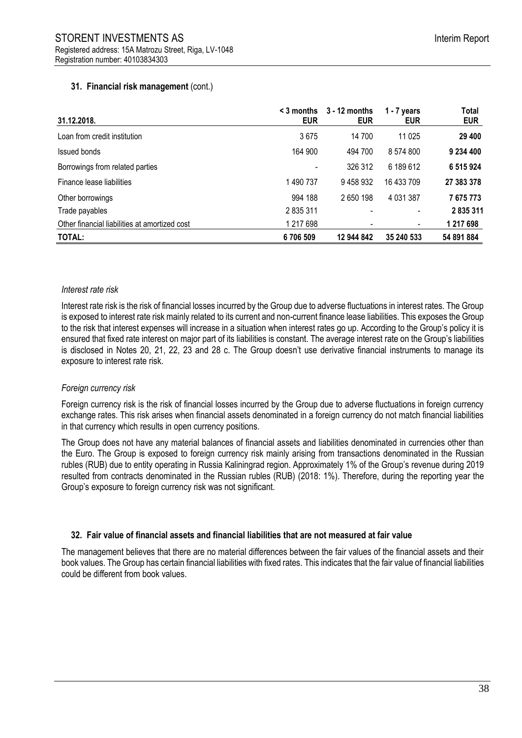## **31. Financial risk management** (cont.)

| 31.12.2018.                                   | $\leq$ 3 months<br><b>EUR</b> | $3 - 12$ months<br><b>EUR</b> | $1 - 7$ years<br><b>EUR</b> | Total<br><b>EUR</b> |
|-----------------------------------------------|-------------------------------|-------------------------------|-----------------------------|---------------------|
| Loan from credit institution                  | 3675                          | 14 700                        | 11 0 25                     | 29 400              |
| Issued bonds                                  | 164 900                       | 494 700                       | 8 574 800                   | 9 234 400           |
| Borrowings from related parties               |                               | 326 312                       | 6 189 612                   | 6 515 924           |
| Finance lease liabilities                     | 1 490 737                     | 9458932                       | 16 433 709                  | 27 383 378          |
| Other borrowings                              | 994 188                       | 2650198                       | 4 0 31 3 87                 | 7675773             |
| Trade payables                                | 2 835 311                     |                               | ٠                           | 2835311             |
| Other financial liabilities at amortized cost | 1 217 698                     |                               | ۰                           | 1 217 698           |
| TOTAL:                                        | 6706509                       | 12 944 842                    | 35 240 533                  | 54 891 884          |

#### *Interest rate risk*

Interest rate risk is the risk of financial losses incurred by the Group due to adverse fluctuations in interest rates. The Group is exposed to interest rate risk mainly related to its current and non-current finance lease liabilities. This exposes the Group to the risk that interest expenses will increase in a situation when interest rates go up. According to the Group's policy it is ensured that fixed rate interest on major part of its liabilities is constant. The average interest rate on the Group's liabilities is disclosed in Notes 20, 21, 22, 23 and 28 c. The Group doesn't use derivative financial instruments to manage its exposure to interest rate risk.

### *Foreign currency risk*

Foreign currency risk is the risk of financial losses incurred by the Group due to adverse fluctuations in foreign currency exchange rates. This risk arises when financial assets denominated in a foreign currency do not match financial liabilities in that currency which results in open currency positions.

The Group does not have any material balances of financial assets and liabilities denominated in currencies other than the Euro. The Group is exposed to foreign currency risk mainly arising from transactions denominated in the Russian rubles (RUB) due to entity operating in Russia Kaliningrad region. Approximately 1% of the Group's revenue during 2019 resulted from contracts denominated in the Russian rubles (RUB) (2018: 1%). Therefore, during the reporting year the Group's exposure to foreign currency risk was not significant.

# **32. Fair value of financial assets and financial liabilities that are not measured at fair value**

The management believes that there are no material differences between the fair values of the financial assets and their book values. The Group has certain financial liabilities with fixed rates. This indicates that the fair value of financial liabilities could be different from book values.